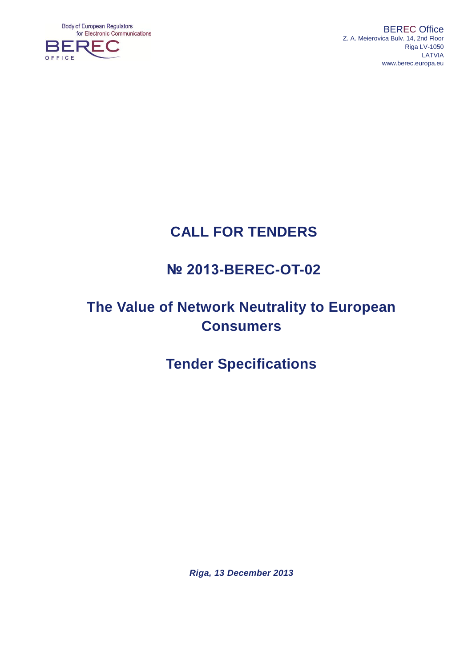**Body of European Regulators** for Electronic Communications



BEREC Office Z. A. Meierovica Bulv. 14, 2nd Floor Riga LV-1050 LATVIA [www.berec.europa.eu](http://www.berec.europa.eu/)

# **CALL FOR TENDERS**

# **№ 2013-BEREC-OT-02**

# **The Value of Network Neutrality to European Consumers**

# **Tender Specifications**

*Riga, 13 December 2013*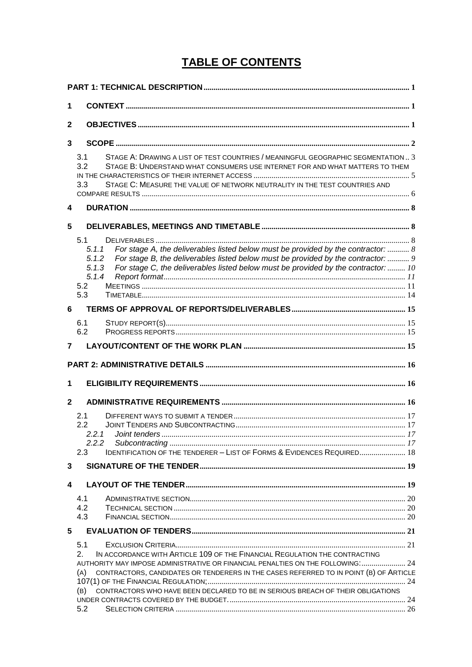# **TABLE OF CONTENTS**

| 1            |                                                                                                                                                                                                                                                                                                                                                                      |  |
|--------------|----------------------------------------------------------------------------------------------------------------------------------------------------------------------------------------------------------------------------------------------------------------------------------------------------------------------------------------------------------------------|--|
| 2            |                                                                                                                                                                                                                                                                                                                                                                      |  |
| 3            |                                                                                                                                                                                                                                                                                                                                                                      |  |
|              | STAGE A: DRAWING A LIST OF TEST COUNTRIES / MEANINGFUL GEOGRAPHIC SEGMENTATION  3<br>3.1<br>3.2<br>STAGE B: UNDERSTAND WHAT CONSUMERS USE INTERNET FOR AND WHAT MATTERS TO THEM<br>STAGE C: MEASURE THE VALUE OF NETWORK NEUTRALITY IN THE TEST COUNTRIES AND<br>3.3                                                                                                 |  |
| 4            |                                                                                                                                                                                                                                                                                                                                                                      |  |
| 5            | 5.1<br>For stage A, the deliverables listed below must be provided by the contractor:  8<br>5.1.1<br>5.1.2<br>For stage B, the deliverables listed below must be provided by the contractor:  9<br>For stage C, the deliverables listed below must be provided by the contractor:  10<br>5.1.3<br>5.1.4<br>5.2<br>5.3                                                |  |
| 6            |                                                                                                                                                                                                                                                                                                                                                                      |  |
| 7            | 6.1<br>6.2                                                                                                                                                                                                                                                                                                                                                           |  |
|              |                                                                                                                                                                                                                                                                                                                                                                      |  |
| 1            |                                                                                                                                                                                                                                                                                                                                                                      |  |
| $\mathbf{2}$ |                                                                                                                                                                                                                                                                                                                                                                      |  |
|              | 2.1<br>2.2<br>2.2.1 Joint tenders.<br>2.2.2<br>IDENTIFICATION OF THE TENDERER - LIST OF FORMS & EVIDENCES REQUIRED 18<br>2.3                                                                                                                                                                                                                                         |  |
| 3            |                                                                                                                                                                                                                                                                                                                                                                      |  |
| 4            |                                                                                                                                                                                                                                                                                                                                                                      |  |
|              | 4.1<br>4.2<br>4.3                                                                                                                                                                                                                                                                                                                                                    |  |
| 5            | 5.1                                                                                                                                                                                                                                                                                                                                                                  |  |
|              | IN ACCORDANCE WITH ARTICLE 109 OF THE FINANCIAL REGULATION THE CONTRACTING<br>2.<br>AUTHORITY MAY IMPOSE ADMINISTRATIVE OR FINANCIAL PENALTIES ON THE FOLLOWING: 24<br>CONTRACTORS, CANDIDATES OR TENDERERS IN THE CASES REFERRED TO IN POINT (B) OF ARTICLE<br>(A)<br>CONTRACTORS WHO HAVE BEEN DECLARED TO BE IN SERIOUS BREACH OF THEIR OBLIGATIONS<br>(B)<br>5.2 |  |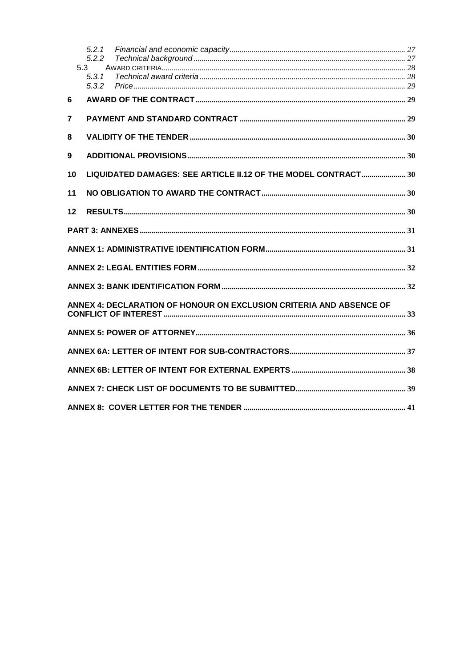|    | 5.2.1<br>5.2.2 |                                                                     |  |
|----|----------------|---------------------------------------------------------------------|--|
|    | 5.3            |                                                                     |  |
|    | 5.3.1          |                                                                     |  |
|    | 5.3.2          |                                                                     |  |
| 6  |                |                                                                     |  |
| 7  |                |                                                                     |  |
|    |                |                                                                     |  |
| 8  |                |                                                                     |  |
| 9  |                |                                                                     |  |
| 10 |                | LIQUIDATED DAMAGES: SEE ARTICLE II.12 OF THE MODEL CONTRACT 30      |  |
| 11 |                |                                                                     |  |
| 12 |                |                                                                     |  |
|    |                |                                                                     |  |
|    |                |                                                                     |  |
|    |                |                                                                     |  |
|    |                |                                                                     |  |
|    |                | ANNEX 4: DECLARATION OF HONOUR ON EXCLUSION CRITERIA AND ABSENCE OF |  |
|    |                |                                                                     |  |
|    |                |                                                                     |  |
|    |                |                                                                     |  |
|    |                |                                                                     |  |
|    |                |                                                                     |  |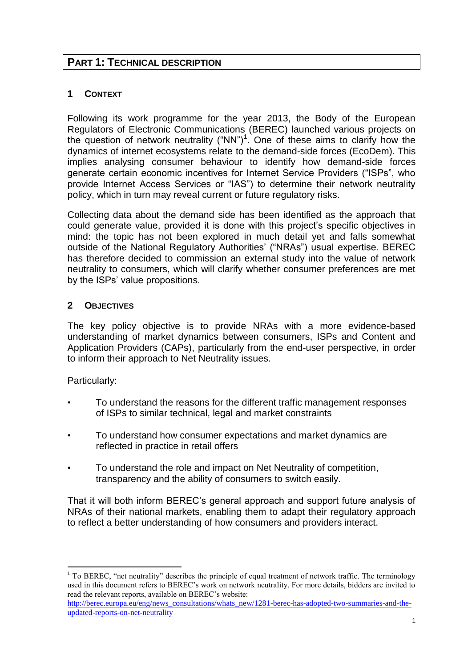## <span id="page-3-0"></span>**PART 1: TECHNICAL DESCRIPTION**

## <span id="page-3-1"></span>**1 CONTEXT**

Following its work programme for the year 2013, the Body of the European Regulators of Electronic Communications (BEREC) launched various projects on the question of network neutrality  $("NN")^1$ . One of these aims to clarify how the dynamics of internet ecosystems relate to the demand-side forces (EcoDem). This implies analysing consumer behaviour to identify how demand-side forces generate certain economic incentives for Internet Service Providers ("ISPs", who provide Internet Access Services or "IAS") to determine their network neutrality policy, which in turn may reveal current or future regulatory risks.

Collecting data about the demand side has been identified as the approach that could generate value, provided it is done with this project's specific objectives in mind: the topic has not been explored in much detail yet and falls somewhat outside of the National Regulatory Authorities' ("NRAs") usual expertise. BEREC has therefore decided to commission an external study into the value of network neutrality to consumers, which will clarify whether consumer preferences are met by the ISPs' value propositions.

## <span id="page-3-2"></span>**2 OBJECTIVES**

The key policy objective is to provide NRAs with a more evidence-based understanding of market dynamics between consumers, ISPs and Content and Application Providers (CAPs), particularly from the end-user perspective, in order to inform their approach to Net Neutrality issues.

Particularly:

<u>.</u>

- To understand the reasons for the different traffic management responses of ISPs to similar technical, legal and market constraints
- To understand how consumer expectations and market dynamics are reflected in practice in retail offers
- To understand the role and impact on Net Neutrality of competition, transparency and the ability of consumers to switch easily.

That it will both inform BEREC's general approach and support future analysis of NRAs of their national markets, enabling them to adapt their regulatory approach to reflect a better understanding of how consumers and providers interact.

 $1$  To BEREC, "net neutrality" describes the principle of equal treatment of network traffic. The terminology used in this document refers to BEREC's work on network neutrality. For more details, bidders are invited to read the relevant reports, available on BEREC's website:

[http://berec.europa.eu/eng/news\\_consultations/whats\\_new/1281-berec-has-adopted-two-summaries-and-the](http://berec.europa.eu/eng/news_consultations/whats_new/1281-berec-has-adopted-two-summaries-and-the-updated-reports-on-net-neutrality)[updated-reports-on-net-neutrality](http://berec.europa.eu/eng/news_consultations/whats_new/1281-berec-has-adopted-two-summaries-and-the-updated-reports-on-net-neutrality)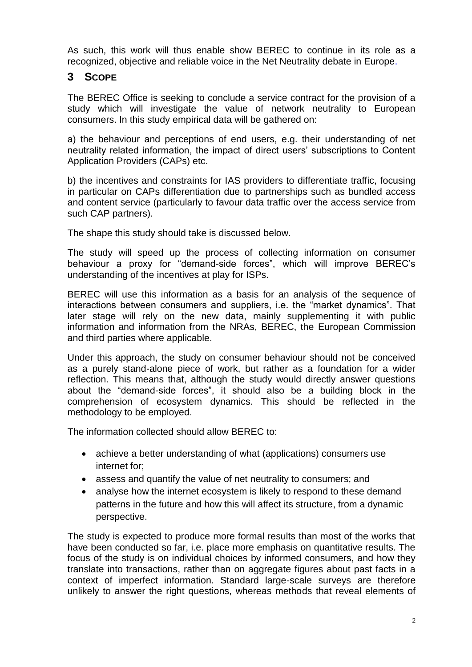As such, this work will thus enable show BEREC to continue in its role as a recognized, objective and reliable voice in the Net Neutrality debate in Europe.

## <span id="page-4-0"></span>**3 SCOPE**

The BEREC Office is seeking to conclude a service contract for the provision of a study which will investigate the value of network neutrality to European consumers. In this study empirical data will be gathered on:

a) the behaviour and perceptions of end users, e.g. their understanding of net neutrality related information, the impact of direct users' subscriptions to Content Application Providers (CAPs) etc.

b) the incentives and constraints for IAS providers to differentiate traffic, focusing in particular on CAPs differentiation due to partnerships such as bundled access and content service (particularly to favour data traffic over the access service from such CAP partners).

The shape this study should take is discussed below.

The study will speed up the process of collecting information on consumer behaviour a proxy for "demand-side forces", which will improve BEREC's understanding of the incentives at play for ISPs.

BEREC will use this information as a basis for an analysis of the sequence of interactions between consumers and suppliers, i.e. the "market dynamics". That later stage will rely on the new data, mainly supplementing it with public information and information from the NRAs, BEREC, the European Commission and third parties where applicable.

Under this approach, the study on consumer behaviour should not be conceived as a purely stand-alone piece of work, but rather as a foundation for a wider reflection. This means that, although the study would directly answer questions about the "demand-side forces", it should also be a building block in the comprehension of ecosystem dynamics. This should be reflected in the methodology to be employed.

The information collected should allow BEREC to:

- achieve a better understanding of what (applications) consumers use internet for;
- assess and quantify the value of net neutrality to consumers; and
- analyse how the internet ecosystem is likely to respond to these demand patterns in the future and how this will affect its structure, from a dynamic perspective.

The study is expected to produce more formal results than most of the works that have been conducted so far, i.e. place more emphasis on quantitative results. The focus of the study is on individual choices by informed consumers, and how they translate into transactions, rather than on aggregate figures about past facts in a context of imperfect information. Standard large-scale surveys are therefore unlikely to answer the right questions, whereas methods that reveal elements of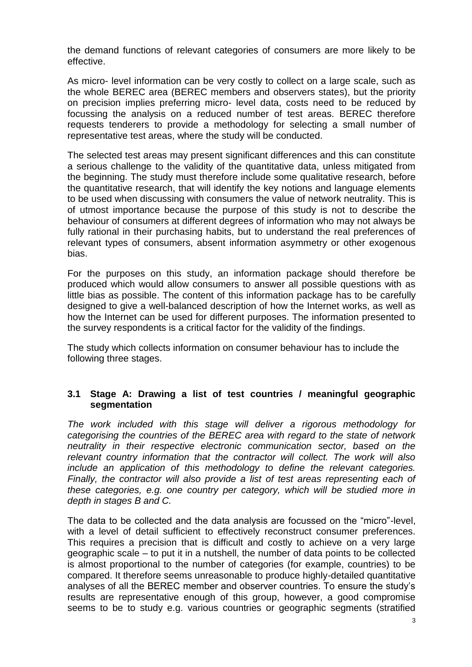the demand functions of relevant categories of consumers are more likely to be effective.

As micro- level information can be very costly to collect on a large scale, such as the whole BEREC area (BEREC members and observers states), but the priority on precision implies preferring micro- level data, costs need to be reduced by focussing the analysis on a reduced number of test areas. BEREC therefore requests tenderers to provide a methodology for selecting a small number of representative test areas, where the study will be conducted.

The selected test areas may present significant differences and this can constitute a serious challenge to the validity of the quantitative data, unless mitigated from the beginning. The study must therefore include some qualitative research, before the quantitative research, that will identify the key notions and language elements to be used when discussing with consumers the value of network neutrality. This is of utmost importance because the purpose of this study is not to describe the behaviour of consumers at different degrees of information who may not always be fully rational in their purchasing habits, but to understand the real preferences of relevant types of consumers, absent information asymmetry or other exogenous bias.

For the purposes on this study, an information package should therefore be produced which would allow consumers to answer all possible questions with as little bias as possible. The content of this information package has to be carefully designed to give a well-balanced description of how the Internet works, as well as how the Internet can be used for different purposes. The information presented to the survey respondents is a critical factor for the validity of the findings.

The study which collects information on consumer behaviour has to include the following three stages.

#### <span id="page-5-0"></span>**3.1 Stage A: Drawing a list of test countries / meaningful geographic segmentation**

*The work included with this stage will deliver a rigorous methodology for categorising the countries of the BEREC area with regard to the state of network neutrality in their respective electronic communication sector, based on the relevant country information that the contractor will collect. The work will also include an application of this methodology to define the relevant categories. Finally, the contractor will also provide a list of test areas representing each of these categories, e.g. one country per category, which will be studied more in depth in stages B and C.*

The data to be collected and the data analysis are focussed on the "micro"-level, with a level of detail sufficient to effectively reconstruct consumer preferences. This requires a precision that is difficult and costly to achieve on a very large geographic scale – to put it in a nutshell, the number of data points to be collected is almost proportional to the number of categories (for example, countries) to be compared. It therefore seems unreasonable to produce highly-detailed quantitative analyses of all the BEREC member and observer countries. To ensure the study's results are representative enough of this group, however, a good compromise seems to be to study e.g. various countries or geographic segments (stratified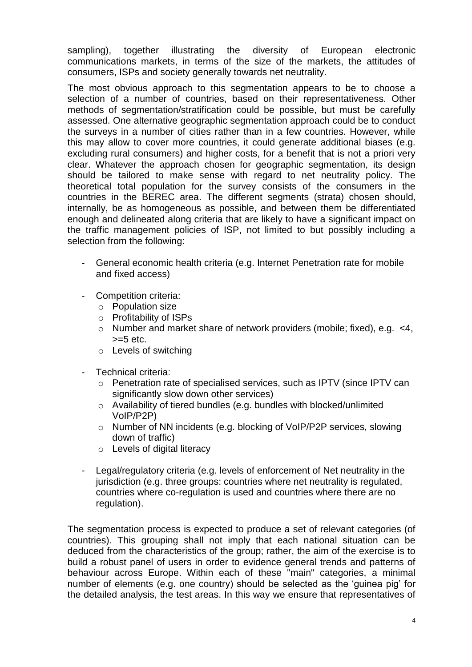sampling), together illustrating the diversity of European electronic communications markets, in terms of the size of the markets, the attitudes of consumers, ISPs and society generally towards net neutrality.

The most obvious approach to this segmentation appears to be to choose a selection of a number of countries, based on their representativeness. Other methods of segmentation/stratification could be possible, but must be carefully assessed. One alternative geographic segmentation approach could be to conduct the surveys in a number of cities rather than in a few countries. However, while this may allow to cover more countries, it could generate additional biases (e.g. excluding rural consumers) and higher costs, for a benefit that is not a priori very clear. Whatever the approach chosen for geographic segmentation, its design should be tailored to make sense with regard to net neutrality policy. The theoretical total population for the survey consists of the consumers in the countries in the BEREC area. The different segments (strata) chosen should, internally, be as homogeneous as possible, and between them be differentiated enough and delineated along criteria that are likely to have a significant impact on the traffic management policies of ISP, not limited to but possibly including a selection from the following:

- General economic health criteria (e.g. Internet Penetration rate for mobile and fixed access)
- Competition criteria:
	- o Population size
	- o Profitability of ISPs
	- o Number and market share of network providers (mobile; fixed), e.g. <4,  $>=5$  etc.
	- o Levels of switching
- Technical criteria:
	- o Penetration rate of specialised services, such as IPTV (since IPTV can significantly slow down other services)
	- o Availability of tiered bundles (e.g. bundles with blocked/unlimited VoIP/P2P)
	- o Number of NN incidents (e.g. blocking of VoIP/P2P services, slowing down of traffic)
	- o Levels of digital literacy
- Legal/regulatory criteria (e.g. levels of enforcement of Net neutrality in the jurisdiction (e.g. three groups: countries where net neutrality is regulated, countries where co-regulation is used and countries where there are no regulation).

The segmentation process is expected to produce a set of relevant categories (of countries). This grouping shall not imply that each national situation can be deduced from the characteristics of the group; rather, the aim of the exercise is to build a robust panel of users in order to evidence general trends and patterns of behaviour across Europe. Within each of these "main" categories, a minimal number of elements (e.g. one country) should be selected as the 'guinea pig' for the detailed analysis, the test areas. In this way we ensure that representatives of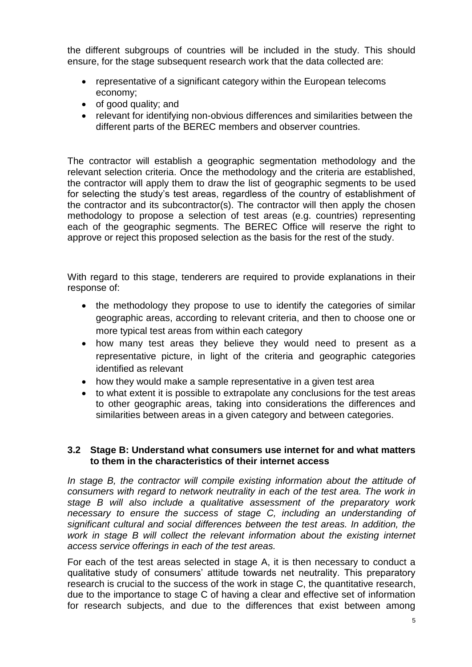the different subgroups of countries will be included in the study. This should ensure, for the stage subsequent research work that the data collected are:

- representative of a significant category within the European telecoms economy;
- $\bullet$  of good quality; and
- relevant for identifying non-obvious differences and similarities between the different parts of the BEREC members and observer countries.

The contractor will establish a geographic segmentation methodology and the relevant selection criteria. Once the methodology and the criteria are established, the contractor will apply them to draw the list of geographic segments to be used for selecting the study's test areas, regardless of the country of establishment of the contractor and its subcontractor(s). The contractor will then apply the chosen methodology to propose a selection of test areas (e.g. countries) representing each of the geographic segments. The BEREC Office will reserve the right to approve or reject this proposed selection as the basis for the rest of the study.

With regard to this stage, tenderers are required to provide explanations in their response of:

- the methodology they propose to use to identify the categories of similar geographic areas, according to relevant criteria, and then to choose one or more typical test areas from within each category
- how many test areas they believe they would need to present as a representative picture, in light of the criteria and geographic categories identified as relevant
- how they would make a sample representative in a given test area
- to what extent it is possible to extrapolate any conclusions for the test areas to other geographic areas, taking into considerations the differences and similarities between areas in a given category and between categories.

## <span id="page-7-0"></span>**3.2 Stage B: Understand what consumers use internet for and what matters to them in the characteristics of their internet access**

In stage B, the contractor will compile existing information about the attitude of *consumers with regard to network neutrality in each of the test area. The work in stage B will also include a qualitative assessment of the preparatory work necessary to ensure the success of stage C, including an understanding of significant cultural and social differences between the test areas. In addition, the work in stage B will collect the relevant information about the existing internet access service offerings in each of the test areas.*

For each of the test areas selected in stage A, it is then necessary to conduct a qualitative study of consumers' attitude towards net neutrality. This preparatory research is crucial to the success of the work in stage C, the quantitative research, due to the importance to stage C of having a clear and effective set of information for research subjects, and due to the differences that exist between among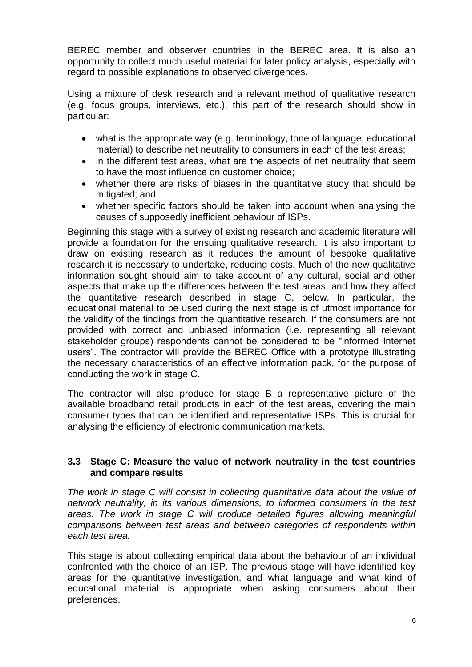BEREC member and observer countries in the BEREC area. It is also an opportunity to collect much useful material for later policy analysis, especially with regard to possible explanations to observed divergences.

Using a mixture of desk research and a relevant method of qualitative research (e.g. focus groups, interviews, etc.), this part of the research should show in particular:

- what is the appropriate way (e.g. terminology, tone of language, educational material) to describe net neutrality to consumers in each of the test areas;
- in the different test areas, what are the aspects of net neutrality that seem to have the most influence on customer choice;
- whether there are risks of biases in the quantitative study that should be mitigated; and
- whether specific factors should be taken into account when analysing the causes of supposedly inefficient behaviour of ISPs.

Beginning this stage with a survey of existing research and academic literature will provide a foundation for the ensuing qualitative research. It is also important to draw on existing research as it reduces the amount of bespoke qualitative research it is necessary to undertake, reducing costs. Much of the new qualitative information sought should aim to take account of any cultural, social and other aspects that make up the differences between the test areas, and how they affect the quantitative research described in stage C, below. In particular, the educational material to be used during the next stage is of utmost importance for the validity of the findings from the quantitative research. If the consumers are not provided with correct and unbiased information (i.e. representing all relevant stakeholder groups) respondents cannot be considered to be "informed Internet users". The contractor will provide the BEREC Office with a prototype illustrating the necessary characteristics of an effective information pack, for the purpose of conducting the work in stage C.

The contractor will also produce for stage B a representative picture of the available broadband retail products in each of the test areas, covering the main consumer types that can be identified and representative ISPs. This is crucial for analysing the efficiency of electronic communication markets.

#### <span id="page-8-0"></span>**3.3 Stage C: Measure the value of network neutrality in the test countries and compare results**

*The work in stage C will consist in collecting quantitative data about the value of network neutrality, in its various dimensions, to informed consumers in the test areas. The work in stage C will produce detailed figures allowing meaningful comparisons between test areas and between categories of respondents within each test area.* 

This stage is about collecting empirical data about the behaviour of an individual confronted with the choice of an ISP. The previous stage will have identified key areas for the quantitative investigation, and what language and what kind of educational material is appropriate when asking consumers about their preferences.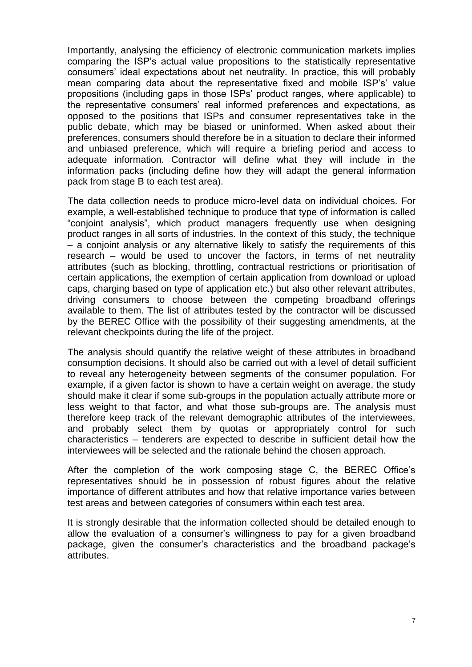Importantly, analysing the efficiency of electronic communication markets implies comparing the ISP's actual value propositions to the statistically representative consumers' ideal expectations about net neutrality. In practice, this will probably mean comparing data about the representative fixed and mobile ISP's' value propositions (including gaps in those ISPs' product ranges, where applicable) to the representative consumers' real informed preferences and expectations, as opposed to the positions that ISPs and consumer representatives take in the public debate, which may be biased or uninformed. When asked about their preferences, consumers should therefore be in a situation to declare their informed and unbiased preference, which will require a briefing period and access to adequate information. Contractor will define what they will include in the information packs (including define how they will adapt the general information pack from stage B to each test area).

The data collection needs to produce micro-level data on individual choices. For example, a well-established technique to produce that type of information is called "conjoint analysis", which product managers frequently use when designing product ranges in all sorts of industries. In the context of this study, the technique – a conjoint analysis or any alternative likely to satisfy the requirements of this research – would be used to uncover the factors, in terms of net neutrality attributes (such as blocking, throttling, contractual restrictions or prioritisation of certain applications, the exemption of certain application from download or upload caps, charging based on type of application etc.) but also other relevant attributes, driving consumers to choose between the competing broadband offerings available to them. The list of attributes tested by the contractor will be discussed by the BEREC Office with the possibility of their suggesting amendments, at the relevant checkpoints during the life of the project.

The analysis should quantify the relative weight of these attributes in broadband consumption decisions. It should also be carried out with a level of detail sufficient to reveal any heterogeneity between segments of the consumer population. For example, if a given factor is shown to have a certain weight on average, the study should make it clear if some sub-groups in the population actually attribute more or less weight to that factor, and what those sub-groups are. The analysis must therefore keep track of the relevant demographic attributes of the interviewees, and probably select them by quotas or appropriately control for such characteristics – tenderers are expected to describe in sufficient detail how the interviewees will be selected and the rationale behind the chosen approach.

After the completion of the work composing stage C, the BEREC Office's representatives should be in possession of robust figures about the relative importance of different attributes and how that relative importance varies between test areas and between categories of consumers within each test area.

It is strongly desirable that the information collected should be detailed enough to allow the evaluation of a consumer's willingness to pay for a given broadband package, given the consumer's characteristics and the broadband package's attributes.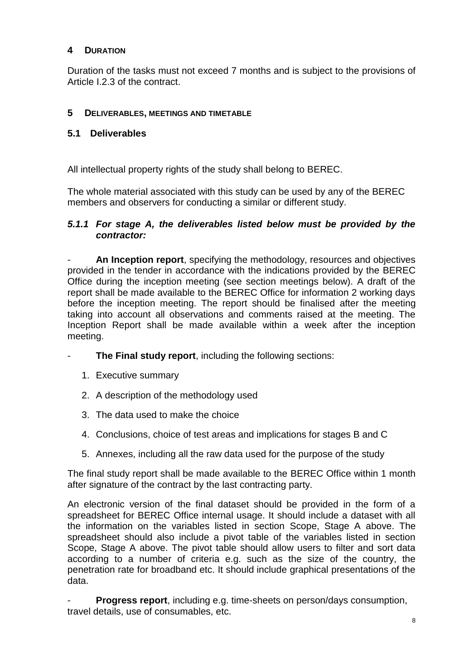### <span id="page-10-0"></span>**4 DURATION**

Duration of the tasks must not exceed 7 months and is subject to the provisions of Article I.2.3 of the contract.

#### <span id="page-10-1"></span>**5 DELIVERABLES, MEETINGS AND TIMETABLE**

#### <span id="page-10-2"></span>**5.1 Deliverables**

All intellectual property rights of the study shall belong to BEREC.

The whole material associated with this study can be used by any of the BEREC members and observers for conducting a similar or different study.

#### <span id="page-10-3"></span>*5.1.1 For stage A, the deliverables listed below must be provided by the contractor:*

- **An Inception report**, specifying the methodology, resources and objectives provided in the tender in accordance with the indications provided by the BEREC Office during the inception meeting (see section meetings below). A draft of the report shall be made available to the BEREC Office for information 2 working days before the inception meeting. The report should be finalised after the meeting taking into account all observations and comments raised at the meeting. The Inception Report shall be made available within a week after the inception meeting.

- The Final study report, including the following sections:
	- 1. Executive summary
	- 2. A description of the methodology used
	- 3. The data used to make the choice
	- 4. Conclusions, choice of test areas and implications for stages B and C
	- 5. Annexes, including all the raw data used for the purpose of the study

The final study report shall be made available to the BEREC Office within 1 month after signature of the contract by the last contracting party.

An electronic version of the final dataset should be provided in the form of a spreadsheet for BEREC Office internal usage. It should include a dataset with all the information on the variables listed in section Scope, Stage A above. The spreadsheet should also include a pivot table of the variables listed in section Scope, Stage A above. The pivot table should allow users to filter and sort data according to a number of criteria e.g. such as the size of the country, the penetration rate for broadband etc. It should include graphical presentations of the data.

**Progress report**, including e.g. time-sheets on person/days consumption, travel details, use of consumables, etc.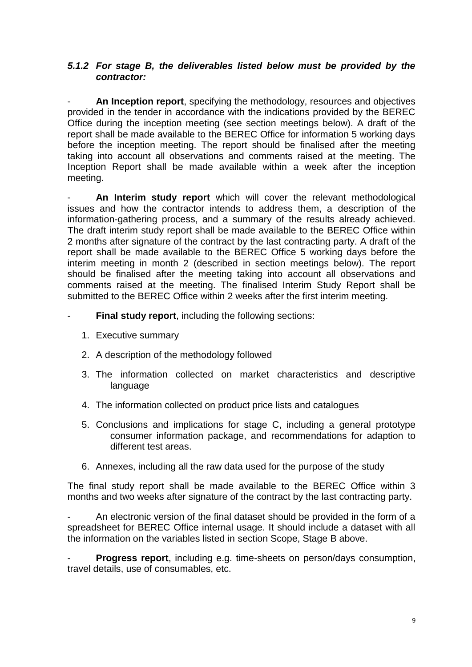#### <span id="page-11-0"></span>*5.1.2 For stage B, the deliverables listed below must be provided by the contractor:*

An Inception report, specifying the methodology, resources and objectives provided in the tender in accordance with the indications provided by the BEREC Office during the inception meeting (see section meetings below). A draft of the report shall be made available to the BEREC Office for information 5 working days before the inception meeting. The report should be finalised after the meeting taking into account all observations and comments raised at the meeting. The Inception Report shall be made available within a week after the inception meeting.

An Interim study report which will cover the relevant methodological issues and how the contractor intends to address them, a description of the information-gathering process, and a summary of the results already achieved. The draft interim study report shall be made available to the BEREC Office within 2 months after signature of the contract by the last contracting party. A draft of the report shall be made available to the BEREC Office 5 working days before the interim meeting in month 2 (described in section meetings below). The report should be finalised after the meeting taking into account all observations and comments raised at the meeting. The finalised Interim Study Report shall be submitted to the BEREC Office within 2 weeks after the first interim meeting.

- **Final study report, including the following sections:** 
	- 1. Executive summary
	- 2. A description of the methodology followed
	- 3. The information collected on market characteristics and descriptive language
	- 4. The information collected on product price lists and catalogues
	- 5. Conclusions and implications for stage C, including a general prototype consumer information package, and recommendations for adaption to different test areas.
	- 6. Annexes, including all the raw data used for the purpose of the study

The final study report shall be made available to the BEREC Office within 3 months and two weeks after signature of the contract by the last contracting party.

An electronic version of the final dataset should be provided in the form of a spreadsheet for BEREC Office internal usage. It should include a dataset with all the information on the variables listed in section Scope, Stage B above.

**Progress report, including e.g. time-sheets on person/days consumption,** travel details, use of consumables, etc.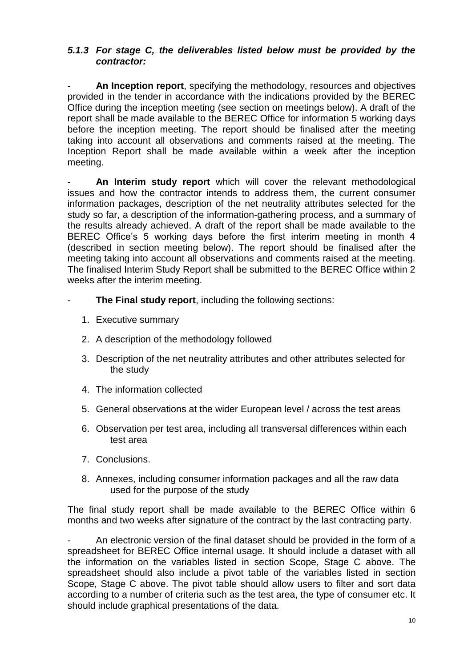### <span id="page-12-0"></span>*5.1.3 For stage C, the deliverables listed below must be provided by the contractor:*

An Inception report, specifying the methodology, resources and objectives provided in the tender in accordance with the indications provided by the BEREC Office during the inception meeting (see section on meetings below). A draft of the report shall be made available to the BEREC Office for information 5 working days before the inception meeting. The report should be finalised after the meeting taking into account all observations and comments raised at the meeting. The Inception Report shall be made available within a week after the inception meeting.

An Interim study report which will cover the relevant methodological issues and how the contractor intends to address them, the current consumer information packages, description of the net neutrality attributes selected for the study so far, a description of the information-gathering process, and a summary of the results already achieved. A draft of the report shall be made available to the BEREC Office's 5 working days before the first interim meeting in month 4 (described in section meeting below). The report should be finalised after the meeting taking into account all observations and comments raised at the meeting. The finalised Interim Study Report shall be submitted to the BEREC Office within 2 weeks after the interim meeting.

- **The Final study report, including the following sections:** 
	- 1. Executive summary
	- 2. A description of the methodology followed
	- 3. Description of the net neutrality attributes and other attributes selected for the study
	- 4. The information collected
	- 5. General observations at the wider European level / across the test areas
	- 6. Observation per test area, including all transversal differences within each test area
	- 7. Conclusions.
	- 8. Annexes, including consumer information packages and all the raw data used for the purpose of the study

The final study report shall be made available to the BEREC Office within 6 months and two weeks after signature of the contract by the last contracting party.

- An electronic version of the final dataset should be provided in the form of a spreadsheet for BEREC Office internal usage. It should include a dataset with all the information on the variables listed in section Scope, Stage C above. The spreadsheet should also include a pivot table of the variables listed in section Scope, Stage C above. The pivot table should allow users to filter and sort data according to a number of criteria such as the test area, the type of consumer etc. It should include graphical presentations of the data.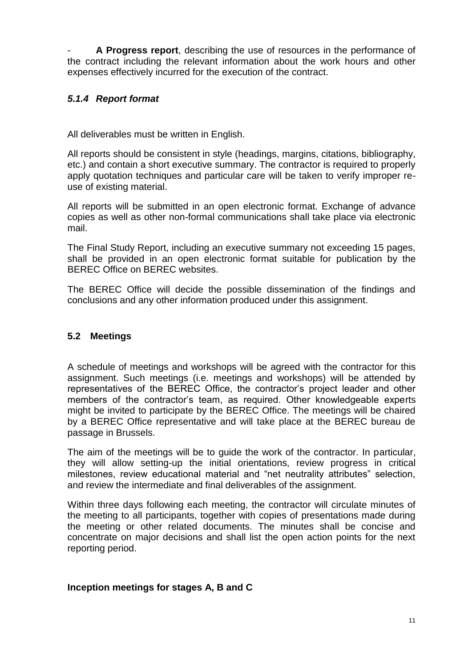- **A Progress report**, describing the use of resources in the performance of the contract including the relevant information about the work hours and other expenses effectively incurred for the execution of the contract.

## <span id="page-13-0"></span>*5.1.4 Report format*

All deliverables must be written in English.

All reports should be consistent in style (headings, margins, citations, bibliography, etc.) and contain a short executive summary. The contractor is required to properly apply quotation techniques and particular care will be taken to verify improper reuse of existing material.

All reports will be submitted in an open electronic format. Exchange of advance copies as well as other non-formal communications shall take place via electronic mail.

The Final Study Report, including an executive summary not exceeding 15 pages, shall be provided in an open electronic format suitable for publication by the BEREC Office on BEREC websites.

The BEREC Office will decide the possible dissemination of the findings and conclusions and any other information produced under this assignment.

## <span id="page-13-1"></span>**5.2 Meetings**

A schedule of meetings and workshops will be agreed with the contractor for this assignment. Such meetings (i.e. meetings and workshops) will be attended by representatives of the BEREC Office, the contractor's project leader and other members of the contractor's team, as required. Other knowledgeable experts might be invited to participate by the BEREC Office. The meetings will be chaired by a BEREC Office representative and will take place at the BEREC bureau de passage in Brussels.

The aim of the meetings will be to guide the work of the contractor. In particular, they will allow setting-up the initial orientations, review progress in critical milestones, review educational material and "net neutrality attributes" selection, and review the intermediate and final deliverables of the assignment.

Within three days following each meeting, the contractor will circulate minutes of the meeting to all participants, together with copies of presentations made during the meeting or other related documents. The minutes shall be concise and concentrate on major decisions and shall list the open action points for the next reporting period.

## **Inception meetings for stages A, B and C**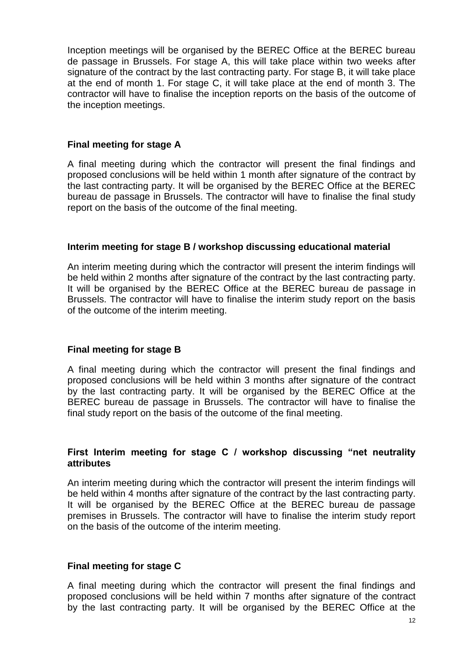Inception meetings will be organised by the BEREC Office at the BEREC bureau de passage in Brussels. For stage A, this will take place within two weeks after signature of the contract by the last contracting party. For stage B, it will take place at the end of month 1. For stage C, it will take place at the end of month 3. The contractor will have to finalise the inception reports on the basis of the outcome of the inception meetings.

#### **Final meeting for stage A**

A final meeting during which the contractor will present the final findings and proposed conclusions will be held within 1 month after signature of the contract by the last contracting party. It will be organised by the BEREC Office at the BEREC bureau de passage in Brussels. The contractor will have to finalise the final study report on the basis of the outcome of the final meeting.

#### **Interim meeting for stage B / workshop discussing educational material**

An interim meeting during which the contractor will present the interim findings will be held within 2 months after signature of the contract by the last contracting party. It will be organised by the BEREC Office at the BEREC bureau de passage in Brussels. The contractor will have to finalise the interim study report on the basis of the outcome of the interim meeting.

## **Final meeting for stage B**

A final meeting during which the contractor will present the final findings and proposed conclusions will be held within 3 months after signature of the contract by the last contracting party. It will be organised by the BEREC Office at the BEREC bureau de passage in Brussels. The contractor will have to finalise the final study report on the basis of the outcome of the final meeting.

#### **First Interim meeting for stage C / workshop discussing "net neutrality attributes**

An interim meeting during which the contractor will present the interim findings will be held within 4 months after signature of the contract by the last contracting party. It will be organised by the BEREC Office at the BEREC bureau de passage premises in Brussels. The contractor will have to finalise the interim study report on the basis of the outcome of the interim meeting.

#### **Final meeting for stage C**

A final meeting during which the contractor will present the final findings and proposed conclusions will be held within 7 months after signature of the contract by the last contracting party. It will be organised by the BEREC Office at the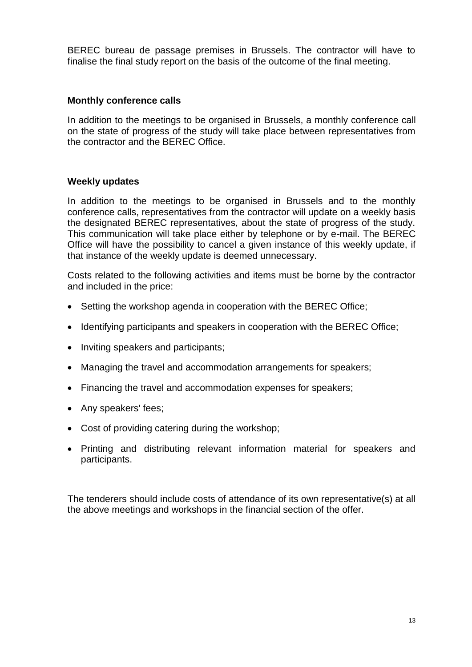BEREC bureau de passage premises in Brussels. The contractor will have to finalise the final study report on the basis of the outcome of the final meeting.

### **Monthly conference calls**

In addition to the meetings to be organised in Brussels, a monthly conference call on the state of progress of the study will take place between representatives from the contractor and the BEREC Office.

#### **Weekly updates**

In addition to the meetings to be organised in Brussels and to the monthly conference calls, representatives from the contractor will update on a weekly basis the designated BEREC representatives, about the state of progress of the study. This communication will take place either by telephone or by e-mail. The BEREC Office will have the possibility to cancel a given instance of this weekly update, if that instance of the weekly update is deemed unnecessary.

Costs related to the following activities and items must be borne by the contractor and included in the price:

- Setting the workshop agenda in cooperation with the BEREC Office;
- Identifying participants and speakers in cooperation with the BEREC Office;
- Inviting speakers and participants;
- Managing the travel and accommodation arrangements for speakers;
- Financing the travel and accommodation expenses for speakers;
- Any speakers' fees;
- Cost of providing catering during the workshop;
- Printing and distributing relevant information material for speakers and participants.

The tenderers should include costs of attendance of its own representative(s) at all the above meetings and workshops in the financial section of the offer.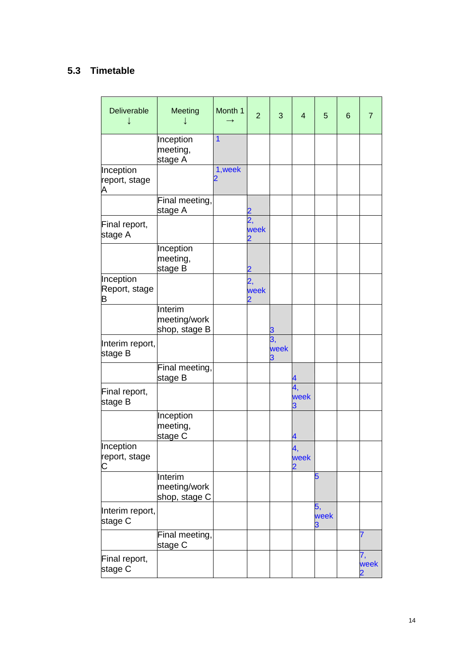# <span id="page-16-0"></span>**5.3 Timetable**

| Deliverable                     | Meeting                                  | Month 1        | $\overline{2}$ | 3          | $\overline{\mathbf{4}}$ | 5          | $6\phantom{1}6$ | 7          |
|---------------------------------|------------------------------------------|----------------|----------------|------------|-------------------------|------------|-----------------|------------|
|                                 | Inception<br>meeting,<br>stage A         | $\overline{1}$ |                |            |                         |            |                 |            |
| Inception<br>report, stage<br>Α |                                          | 1, week        |                |            |                         |            |                 |            |
|                                 | Final meeting,<br>stage A                |                |                |            |                         |            |                 |            |
| Final report,<br>stage A        |                                          |                | 2,<br>week     |            |                         |            |                 |            |
|                                 | Inception<br>meeting,<br>stage B         |                |                |            |                         |            |                 |            |
| Inception<br>Report, stage<br>в |                                          |                | 2,<br>week     |            |                         |            |                 |            |
|                                 | Interim<br>meeting/work<br>shop, stage B |                |                |            |                         |            |                 |            |
| Interim report,<br>stage B      |                                          |                |                | 3,<br>week |                         |            |                 |            |
|                                 | Final meeting,<br>stage B                |                |                |            |                         |            |                 |            |
| Final report,<br>stage B        |                                          |                |                |            | 4,<br>week              |            |                 |            |
|                                 | Inception<br>meeting,<br>stage C         |                |                |            |                         |            |                 |            |
| Inception<br>report, stage<br>C |                                          |                |                |            | week                    |            |                 |            |
|                                 | Interim<br>meeting/work<br>shop, stage C |                |                |            |                         | 5          |                 |            |
| Interim report,<br>stage C      |                                          |                |                |            |                         | 5,<br>week |                 |            |
|                                 | Final meeting,<br>stage C                |                |                |            |                         |            |                 | 7          |
| Final report,<br>stage C        |                                          |                |                |            |                         |            |                 | 7,<br>week |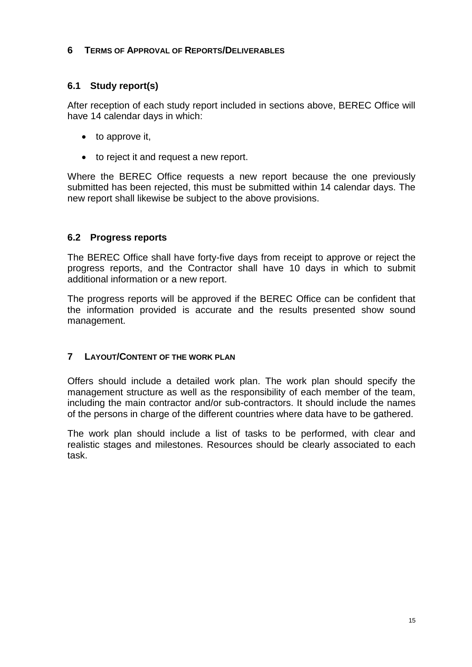#### <span id="page-17-0"></span>**6 TERMS OF APPROVAL OF REPORTS/DELIVERABLES**

## <span id="page-17-1"></span>**6.1 Study report(s)**

After reception of each study report included in sections above, BEREC Office will have 14 calendar days in which:

- $\bullet$  to approve it,
- to reject it and request a new report.

Where the BEREC Office requests a new report because the one previously submitted has been rejected, this must be submitted within 14 calendar days. The new report shall likewise be subject to the above provisions.

## <span id="page-17-2"></span>**6.2 Progress reports**

The BEREC Office shall have forty-five days from receipt to approve or reject the progress reports, and the Contractor shall have 10 days in which to submit additional information or a new report.

The progress reports will be approved if the BEREC Office can be confident that the information provided is accurate and the results presented show sound management.

## <span id="page-17-3"></span>**7 LAYOUT/CONTENT OF THE WORK PLAN**

Offers should include a detailed work plan. The work plan should specify the management structure as well as the responsibility of each member of the team, including the main contractor and/or sub-contractors. It should include the names of the persons in charge of the different countries where data have to be gathered.

The work plan should include a list of tasks to be performed, with clear and realistic stages and milestones. Resources should be clearly associated to each task.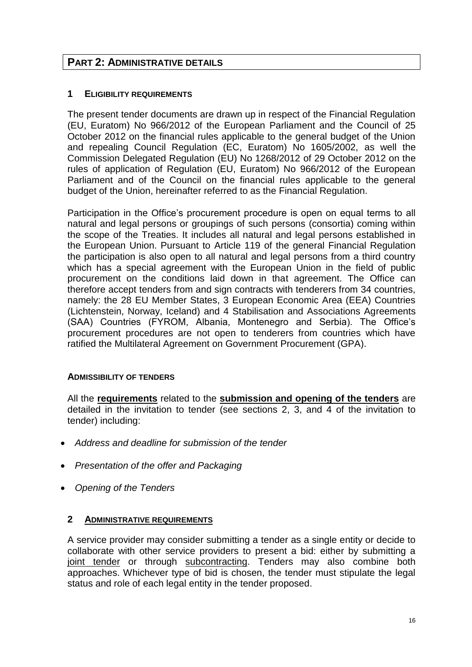## <span id="page-18-0"></span>**PART 2: ADMINISTRATIVE DETAILS**

#### <span id="page-18-1"></span>**1 ELIGIBILITY REQUIREMENTS**

The present tender documents are drawn up in respect of the Financial Regulation (EU, Euratom) No 966/2012 of the European Parliament and the Council of 25 October 2012 on the financial rules applicable to the general budget of the Union and repealing Council Regulation (EC, Euratom) No 1605/2002, as well the Commission Delegated Regulation (EU) No 1268/2012 of 29 October 2012 on the rules of application of Regulation (EU, Euratom) No 966/2012 of the European Parliament and of the Council on the financial rules applicable to the general budget of the Union, hereinafter referred to as the Financial Regulation.

Participation in the Office's procurement procedure is open on equal terms to all natural and legal persons or groupings of such persons (consortia) coming within the scope of the Treaties. It includes all natural and legal persons established in the European Union. Pursuant to Article 119 of the general Financial Regulation the participation is also open to all natural and legal persons from a third country which has a special agreement with the European Union in the field of public procurement on the conditions laid down in that agreement. The Office can therefore accept tenders from and sign contracts with tenderers from 34 countries, namely: the 28 EU Member States, 3 European Economic Area (EEA) Countries (Lichtenstein, Norway, Iceland) and 4 Stabilisation and Associations Agreements (SAA) Countries (FYROM, Albania, Montenegro and Serbia). The Office's procurement procedures are not open to tenderers from countries which have ratified the Multilateral Agreement on Government Procurement (GPA).

## **ADMISSIBILITY OF TENDERS**

All the **requirements** related to the **submission and opening of the tenders** are detailed in the invitation to tender (see sections 2, 3, and 4 of the invitation to tender) including:

- *Address and deadline for submission of the tender*
- *Presentation of the offer and Packaging*
- *Opening of the Tenders*

#### <span id="page-18-2"></span>**2 ADMINISTRATIVE REQUIREMENTS**

A service provider may consider submitting a tender as a single entity or decide to collaborate with other service providers to present a bid: either by submitting a joint tender or through subcontracting. Tenders may also combine both approaches. Whichever type of bid is chosen, the tender must stipulate the legal status and role of each legal entity in the tender proposed.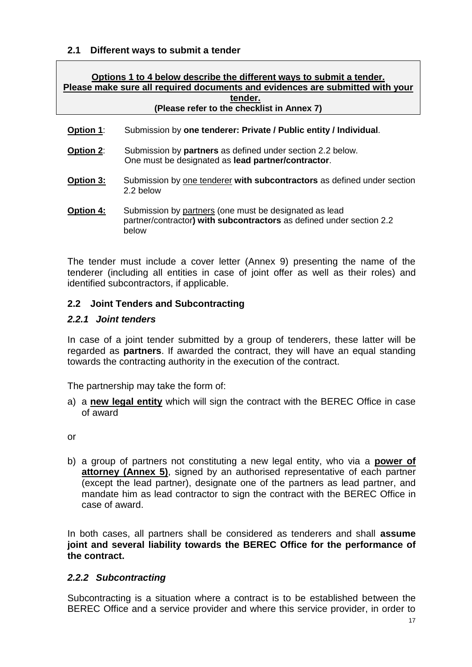#### <span id="page-19-0"></span>**2.1 Different ways to submit a tender**

| Options 1 to 4 below describe the different ways to submit a tender.<br>Please make sure all required documents and evidences are submitted with your<br>tender.<br>(Please refer to the checklist in Annex 7) |                                                                                                                                         |  |  |  |  |  |
|----------------------------------------------------------------------------------------------------------------------------------------------------------------------------------------------------------------|-----------------------------------------------------------------------------------------------------------------------------------------|--|--|--|--|--|
|                                                                                                                                                                                                                |                                                                                                                                         |  |  |  |  |  |
| <b>Option 1:</b>                                                                                                                                                                                               | Submission by one tenderer: Private / Public entity / Individual.                                                                       |  |  |  |  |  |
| Option 2:                                                                                                                                                                                                      | Submission by <b>partners</b> as defined under section 2.2 below.<br>One must be designated as lead partner/contractor.                 |  |  |  |  |  |
| Option 3:                                                                                                                                                                                                      | Submission by one tenderer with subcontractors as defined under section<br>2.2 below                                                    |  |  |  |  |  |
| <b>Option 4:</b>                                                                                                                                                                                               | Submission by partners (one must be designated as lead<br>partner/contractor) with subcontractors as defined under section 2.2<br>below |  |  |  |  |  |

The tender must include a cover letter (Annex 9) presenting the name of the tenderer (including all entities in case of joint offer as well as their roles) and identified subcontractors, if applicable.

## <span id="page-19-1"></span>**2.2 Joint Tenders and Subcontracting**

#### <span id="page-19-2"></span>*2.2.1 Joint tenders*

In case of a joint tender submitted by a group of tenderers, these latter will be regarded as **partners**. If awarded the contract, they will have an equal standing towards the contracting authority in the execution of the contract.

The partnership may take the form of:

a) a **new legal entity** which will sign the contract with the BEREC Office in case of award

or

b) a group of partners not constituting a new legal entity, who via a **power of attorney (Annex 5)**, signed by an authorised representative of each partner (except the lead partner), designate one of the partners as lead partner, and mandate him as lead contractor to sign the contract with the BEREC Office in case of award.

In both cases, all partners shall be considered as tenderers and shall **assume joint and several liability towards the BEREC Office for the performance of the contract.**

## <span id="page-19-3"></span>*2.2.2 Subcontracting*

Subcontracting is a situation where a contract is to be established between the BEREC Office and a service provider and where this service provider, in order to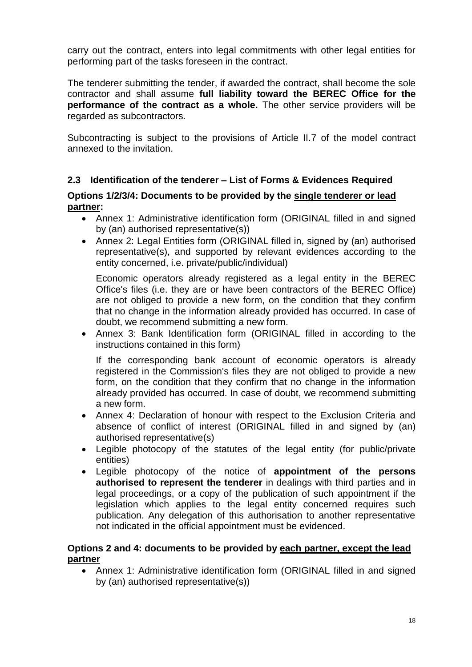carry out the contract, enters into legal commitments with other legal entities for performing part of the tasks foreseen in the contract.

The tenderer submitting the tender, if awarded the contract, shall become the sole contractor and shall assume **full liability toward the BEREC Office for the performance of the contract as a whole.** The other service providers will be regarded as subcontractors.

Subcontracting is subject to the provisions of Article II.7 of the model contract annexed to the invitation.

## <span id="page-20-0"></span>**2.3 Identification of the tenderer – List of Forms & Evidences Required**

#### **Options 1/2/3/4: Documents to be provided by the single tenderer or lead partner:**

- Annex 1: Administrative identification form (ORIGINAL filled in and signed by (an) authorised representative(s))
- Annex 2: Legal Entities form (ORIGINAL filled in, signed by (an) authorised representative(s), and supported by relevant evidences according to the entity concerned, i.e. private/public/individual)

Economic operators already registered as a legal entity in the BEREC Office's files (i.e. they are or have been contractors of the BEREC Office) are not obliged to provide a new form, on the condition that they confirm that no change in the information already provided has occurred. In case of doubt, we recommend submitting a new form.

 Annex 3: Bank Identification form (ORIGINAL filled in according to the instructions contained in this form)

If the corresponding bank account of economic operators is already registered in the Commission's files they are not obliged to provide a new form, on the condition that they confirm that no change in the information already provided has occurred. In case of doubt, we recommend submitting a new form.

- Annex 4: Declaration of honour with respect to the Exclusion Criteria and absence of conflict of interest (ORIGINAL filled in and signed by (an) authorised representative(s)
- Legible photocopy of the statutes of the legal entity (for public/private entities)
- Legible photocopy of the notice of **appointment of the persons authorised to represent the tenderer** in dealings with third parties and in legal proceedings, or a copy of the publication of such appointment if the legislation which applies to the legal entity concerned requires such publication. Any delegation of this authorisation to another representative not indicated in the official appointment must be evidenced.

#### **Options 2 and 4: documents to be provided by each partner, except the lead partner**

 Annex 1: Administrative identification form (ORIGINAL filled in and signed by (an) authorised representative(s))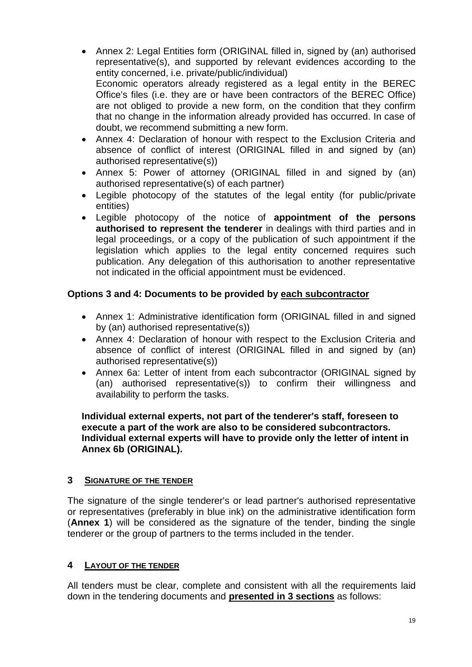- Annex 2: Legal Entities form (ORIGINAL filled in, signed by (an) authorised representative(s), and supported by relevant evidences according to the entity concerned, i.e. private/public/individual) Economic operators already registered as a legal entity in the BEREC Office's files (i.e. they are or have been contractors of the BEREC Office) are not obliged to provide a new form, on the condition that they confirm that no change in the information already provided has occurred. In case of doubt, we recommend submitting a new form.
- Annex 4: Declaration of honour with respect to the Exclusion Criteria and absence of conflict of interest (ORIGINAL filled in and signed by (an) authorised representative(s))
- Annex 5: Power of attorney (ORIGINAL filled in and signed by (an) authorised representative(s) of each partner)
- Legible photocopy of the statutes of the legal entity (for public/private entities)
- Legible photocopy of the notice of **appointment of the persons authorised to represent the tenderer** in dealings with third parties and in legal proceedings, or a copy of the publication of such appointment if the legislation which applies to the legal entity concerned requires such publication. Any delegation of this authorisation to another representative not indicated in the official appointment must be evidenced.

## **Options 3 and 4: Documents to be provided by each subcontractor**

- Annex 1: Administrative identification form (ORIGINAL filled in and signed by (an) authorised representative(s))
- Annex 4: Declaration of honour with respect to the Exclusion Criteria and absence of conflict of interest (ORIGINAL filled in and signed by (an) authorised representative(s))
- Annex 6a: Letter of intent from each subcontractor (ORIGINAL signed by (an) authorised representative(s)) to confirm their willingness and availability to perform the tasks.

#### **Individual external experts, not part of the tenderer's staff, foreseen to execute a part of the work are also to be considered subcontractors. Individual external experts will have to provide only the letter of intent in Annex 6b (ORIGINAL).**

## <span id="page-21-0"></span>**3 SIGNATURE OF THE TENDER**

The signature of the single tenderer's or lead partner's authorised representative or representatives (preferably in blue ink) on the administrative identification form (**Annex 1**) will be considered as the signature of the tender, binding the single tenderer or the group of partners to the terms included in the tender.

#### <span id="page-21-1"></span>**4 LAYOUT OF THE TENDER**

All tenders must be clear, complete and consistent with all the requirements laid down in the tendering documents and **presented in 3 sections** as follows: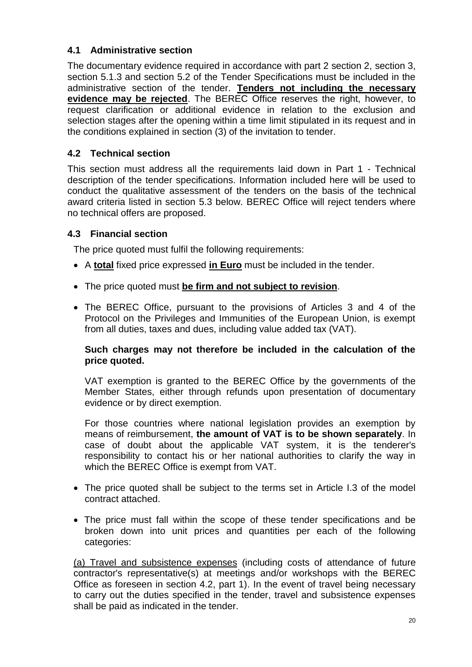## <span id="page-22-0"></span>**4.1 Administrative section**

The documentary evidence required in accordance with part 2 section 2, section 3, section 5.1.3 and section 5.2 of the Tender Specifications must be included in the administrative section of the tender. **Tenders not including the necessary evidence may be rejected**. The BEREC Office reserves the right, however, to request clarification or additional evidence in relation to the exclusion and selection stages after the opening within a time limit stipulated in its request and in the conditions explained in section (3) of the invitation to tender.

## <span id="page-22-1"></span>**4.2 Technical section**

This section must address all the requirements laid down in Part 1 - Technical description of the tender specifications. Information included here will be used to conduct the qualitative assessment of the tenders on the basis of the technical award criteria listed in section 5.3 below. BEREC Office will reject tenders where no technical offers are proposed.

## <span id="page-22-2"></span>**4.3 Financial section**

The price quoted must fulfil the following requirements:

- A **total** fixed price expressed **in Euro** must be included in the tender.
- The price quoted must **be firm and not subject to revision**.
- The BEREC Office, pursuant to the provisions of Articles 3 and 4 of the Protocol on the Privileges and Immunities of the European Union, is exempt from all duties, taxes and dues, including value added tax (VAT).

#### **Such charges may not therefore be included in the calculation of the price quoted.**

VAT exemption is granted to the BEREC Office by the governments of the Member States, either through refunds upon presentation of documentary evidence or by direct exemption.

For those countries where national legislation provides an exemption by means of reimbursement, **the amount of VAT is to be shown separately**. In case of doubt about the applicable VAT system, it is the tenderer's responsibility to contact his or her national authorities to clarify the way in which the BEREC Office is exempt from VAT.

- The price quoted shall be subject to the terms set in Article I.3 of the model contract attached.
- The price must fall within the scope of these tender specifications and be broken down into unit prices and quantities per each of the following categories:

(a) Travel and subsistence expenses (including costs of attendance of future contractor's representative(s) at meetings and/or workshops with the BEREC Office as foreseen in section 4.2, part 1). In the event of travel being necessary to carry out the duties specified in the tender, travel and subsistence expenses shall be paid as indicated in the tender.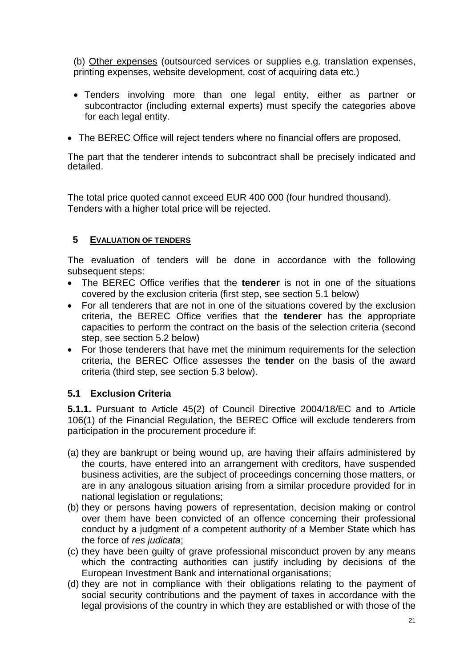(b) Other expenses (outsourced services or supplies e.g. translation expenses, printing expenses, website development, cost of acquiring data etc.)

- Tenders involving more than one legal entity, either as partner or subcontractor (including external experts) must specify the categories above for each legal entity.
- The BEREC Office will reject tenders where no financial offers are proposed.

The part that the tenderer intends to subcontract shall be precisely indicated and detailed.

The total price quoted cannot exceed EUR 400 000 (four hundred thousand). Tenders with a higher total price will be rejected.

#### <span id="page-23-0"></span>**5 EVALUATION OF TENDERS**

The evaluation of tenders will be done in accordance with the following subsequent steps:

- The BEREC Office verifies that the **tenderer** is not in one of the situations covered by the exclusion criteria (first step, see section 5.1 below)
- For all tenderers that are not in one of the situations covered by the exclusion criteria, the BEREC Office verifies that the **tenderer** has the appropriate capacities to perform the contract on the basis of the selection criteria (second step, see section 5.2 below)
- For those tenderers that have met the minimum requirements for the selection criteria, the BEREC Office assesses the **tender** on the basis of the award criteria (third step, see section 5.3 below).

#### <span id="page-23-1"></span>**5.1 Exclusion Criteria**

**5.1.1.** Pursuant to Article 45(2) of Council Directive 2004/18/EC and to Article 106(1) of the Financial Regulation, the BEREC Office will exclude tenderers from participation in the procurement procedure if:

- (a) they are bankrupt or being wound up, are having their affairs administered by the courts, have entered into an arrangement with creditors, have suspended business activities, are the subject of proceedings concerning those matters, or are in any analogous situation arising from a similar procedure provided for in national legislation or regulations;
- (b) they or persons having powers of representation, decision making or control over them have been convicted of an offence concerning their professional conduct by a judgment of a competent authority of a Member State which has the force of *res judicata*;
- (c) they have been guilty of grave professional misconduct proven by any means which the contracting authorities can justify including by decisions of the European Investment Bank and international organisations;
- (d) they are not in compliance with their obligations relating to the payment of social security contributions and the payment of taxes in accordance with the legal provisions of the country in which they are established or with those of the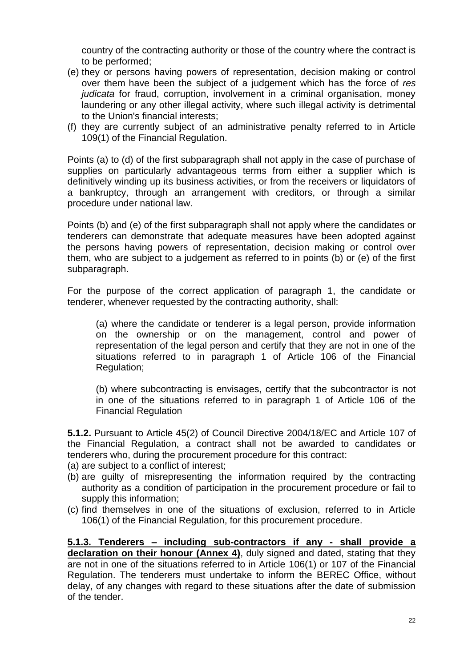country of the contracting authority or those of the country where the contract is to be performed;

- (e) they or persons having powers of representation, decision making or control over them have been the subject of a judgement which has the force of *res judicata* for fraud, corruption, involvement in a criminal organisation, money laundering or any other illegal activity, where such illegal activity is detrimental to the Union's financial interests;
- (f) they are currently subject of an administrative penalty referred to in Article 109(1) of the Financial Regulation.

Points (a) to (d) of the first subparagraph shall not apply in the case of purchase of supplies on particularly advantageous terms from either a supplier which is definitively winding up its business activities, or from the receivers or liquidators of a bankruptcy, through an arrangement with creditors, or through a similar procedure under national law.

Points (b) and (e) of the first subparagraph shall not apply where the candidates or tenderers can demonstrate that adequate measures have been adopted against the persons having powers of representation, decision making or control over them, who are subject to a judgement as referred to in points (b) or (e) of the first subparagraph.

For the purpose of the correct application of paragraph 1, the candidate or tenderer, whenever requested by the contracting authority, shall:

(a) where the candidate or tenderer is a legal person, provide information on the ownership or on the management, control and power of representation of the legal person and certify that they are not in one of the situations referred to in paragraph 1 of Article 106 of the Financial Regulation;

(b) where subcontracting is envisages, certify that the subcontractor is not in one of the situations referred to in paragraph 1 of Article 106 of the Financial Regulation

**5.1.2.** Pursuant to Article 45(2) of Council Directive 2004/18/EC and Article 107 of the Financial Regulation, a contract shall not be awarded to candidates or tenderers who, during the procurement procedure for this contract:

- (a) are subject to a conflict of interest;
- (b) are guilty of misrepresenting the information required by the contracting authority as a condition of participation in the procurement procedure or fail to supply this information;
- (c) find themselves in one of the situations of exclusion, referred to in Article 106(1) of the Financial Regulation, for this procurement procedure.

**5.1.3. Tenderers – including sub-contractors if any - shall provide a declaration on their honour (Annex 4)**, duly signed and dated, stating that they are not in one of the situations referred to in Article 106(1) or 107 of the Financial Regulation. The tenderers must undertake to inform the BEREC Office, without delay, of any changes with regard to these situations after the date of submission of the tender.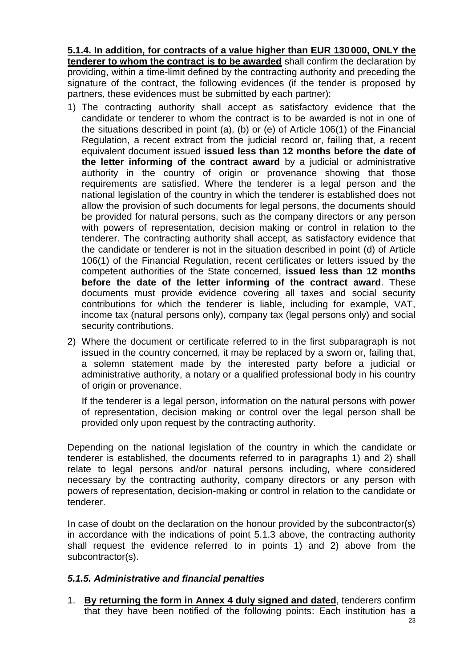**5.1.4. In addition, for contracts of a value higher than EUR 130000, ONLY the tenderer to whom the contract is to be awarded** shall confirm the declaration by providing, within a time-limit defined by the contracting authority and preceding the signature of the contract, the following evidences (if the tender is proposed by partners, these evidences must be submitted by each partner):

- 1) The contracting authority shall accept as satisfactory evidence that the candidate or tenderer to whom the contract is to be awarded is not in one of the situations described in point (a), (b) or (e) of Article 106(1) of the Financial Regulation, a recent extract from the judicial record or, failing that, a recent equivalent document issued **issued less than 12 months before the date of the letter informing of the contract award** by a judicial or administrative authority in the country of origin or provenance showing that those requirements are satisfied. Where the tenderer is a legal person and the national legislation of the country in which the tenderer is established does not allow the provision of such documents for legal persons, the documents should be provided for natural persons, such as the company directors or any person with powers of representation, decision making or control in relation to the tenderer. The contracting authority shall accept, as satisfactory evidence that the candidate or tenderer is not in the situation described in point (d) of Article 106(1) of the Financial Regulation, recent certificates or letters issued by the competent authorities of the State concerned, **issued less than 12 months before the date of the letter informing of the contract award**. These documents must provide evidence covering all taxes and social security contributions for which the tenderer is liable, including for example, VAT, income tax (natural persons only), company tax (legal persons only) and social security contributions.
- 2) Where the document or certificate referred to in the first subparagraph is not issued in the country concerned, it may be replaced by a sworn or, failing that, a solemn statement made by the interested party before a judicial or administrative authority, a notary or a qualified professional body in his country of origin or provenance.

If the tenderer is a legal person, information on the natural persons with power of representation, decision making or control over the legal person shall be provided only upon request by the contracting authority.

Depending on the national legislation of the country in which the candidate or tenderer is established, the documents referred to in paragraphs 1) and 2) shall relate to legal persons and/or natural persons including, where considered necessary by the contracting authority, company directors or any person with powers of representation, decision-making or control in relation to the candidate or tenderer.

In case of doubt on the declaration on the honour provided by the subcontractor(s) in accordance with the indications of point 5.1.3 above, the contracting authority shall request the evidence referred to in points 1) and 2) above from the subcontractor(s).

## *5.1.5. Administrative and financial penalties*

1. **By returning the form in Annex 4 duly signed and dated**, tenderers confirm that they have been notified of the following points: Each institution has a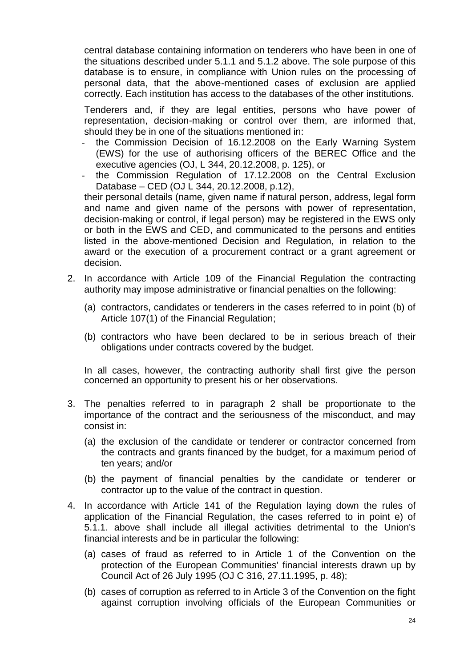central database containing information on tenderers who have been in one of the situations described under 5.1.1 and 5.1.2 above. The sole purpose of this database is to ensure, in compliance with Union rules on the processing of personal data, that the above-mentioned cases of exclusion are applied correctly. Each institution has access to the databases of the other institutions.

Tenderers and, if they are legal entities, persons who have power of representation, decision-making or control over them, are informed that, should they be in one of the situations mentioned in:

- the Commission Decision of 16.12.2008 on the Early Warning System (EWS) for the use of authorising officers of the BEREC Office and the executive agencies (OJ, L 344, 20.12.2008, p. 125), or
- the Commission Regulation of 17.12.2008 on the Central Exclusion Database – CED (OJ L 344, 20.12.2008, p.12),

their personal details (name, given name if natural person, address, legal form and name and given name of the persons with power of representation, decision-making or control, if legal person) may be registered in the EWS only or both in the EWS and CED, and communicated to the persons and entities listed in the above-mentioned Decision and Regulation, in relation to the award or the execution of a procurement contract or a grant agreement or decision.

- <span id="page-26-1"></span><span id="page-26-0"></span>2. In accordance with Article 109 of the Financial Regulation the contracting authority may impose administrative or financial penalties on the following:
	- (a) contractors, candidates or tenderers in the cases referred to in point (b) of Article 107(1) of the Financial Regulation;
	- (b) contractors who have been declared to be in serious breach of their obligations under contracts covered by the budget.

<span id="page-26-2"></span>In all cases, however, the contracting authority shall first give the person concerned an opportunity to present his or her observations.

- 3. The penalties referred to in paragraph 2 shall be proportionate to the importance of the contract and the seriousness of the misconduct, and may consist in:
	- (a) the exclusion of the candidate or tenderer or contractor concerned from the contracts and grants financed by the budget, for a maximum period of ten years; and/or
	- (b) the payment of financial penalties by the candidate or tenderer or contractor up to the value of the contract in question.
- 4. In accordance with Article 141 of the Regulation laying down the rules of application of the Financial Regulation, the cases referred to in point e) of 5.1.1. above shall include all illegal activities detrimental to the Union's financial interests and be in particular the following:
	- (a) cases of fraud as referred to in Article 1 of the Convention on the protection of the European Communities' financial interests drawn up by Council Act of 26 July 1995 (OJ C 316, 27.11.1995, p. 48);
	- (b) cases of corruption as referred to in Article 3 of the Convention on the fight against corruption involving officials of the European Communities or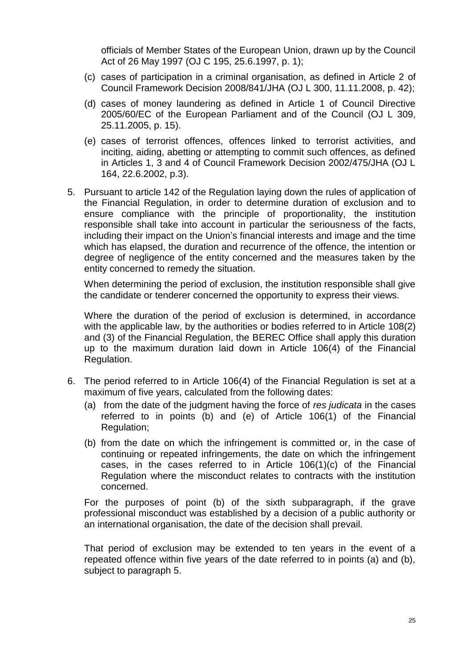officials of Member States of the European Union, drawn up by the Council Act of 26 May 1997 (OJ C 195, 25.6.1997, p. 1);

- (c) cases of participation in a criminal organisation, as defined in Article 2 of Council Framework Decision 2008/841/JHA (OJ L 300, 11.11.2008, p. 42);
- (d) cases of money laundering as defined in Article 1 of Council Directive 2005/60/EC of the European Parliament and of the Council (OJ L 309, 25.11.2005, p. 15).
- (e) cases of terrorist offences, offences linked to terrorist activities, and inciting, aiding, abetting or attempting to commit such offences, as defined in Articles 1, 3 and 4 of Council Framework Decision 2002/475/JHA (OJ L 164, 22.6.2002, p.3).
- 5. Pursuant to article 142 of the Regulation laying down the rules of application of the Financial Regulation, in order to determine duration of exclusion and to ensure compliance with the principle of proportionality, the institution responsible shall take into account in particular the seriousness of the facts, including their impact on the Union's financial interests and image and the time which has elapsed, the duration and recurrence of the offence, the intention or degree of negligence of the entity concerned and the measures taken by the entity concerned to remedy the situation.

When determining the period of exclusion, the institution responsible shall give the candidate or tenderer concerned the opportunity to express their views.

Where the duration of the period of exclusion is determined, in accordance with the applicable law, by the authorities or bodies referred to in Article 108(2) and (3) of the Financial Regulation, the BEREC Office shall apply this duration up to the maximum duration laid down in Article 106(4) of the Financial Regulation.

- 6. The period referred to in Article 106(4) of the Financial Regulation is set at a maximum of five years, calculated from the following dates:
	- (a) from the date of the judgment having the force of *res judicata* in the cases referred to in points (b) and (e) of Article 106(1) of the Financial Regulation;
	- (b) from the date on which the infringement is committed or, in the case of continuing or repeated infringements, the date on which the infringement cases, in the cases referred to in Article 106(1)(c) of the Financial Regulation where the misconduct relates to contracts with the institution concerned.

For the purposes of point (b) of the sixth subparagraph, if the grave professional misconduct was established by a decision of a public authority or an international organisation, the date of the decision shall prevail.

That period of exclusion may be extended to ten years in the event of a repeated offence within five years of the date referred to in points (a) and (b), subject to paragraph 5.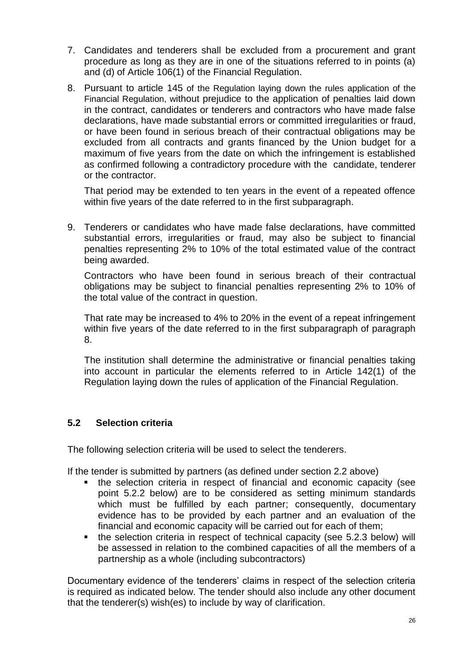- 7. Candidates and tenderers shall be excluded from a procurement and grant procedure as long as they are in one of the situations referred to in points (a) and (d) of Article 106(1) of the Financial Regulation.
- 8. Pursuant to article 145 of the Regulation laying down the rules application of the Financial Regulation, without prejudice to the application of penalties laid down in the contract, candidates or tenderers and contractors who have made false declarations, have made substantial errors or committed irregularities or fraud, or have been found in serious breach of their contractual obligations may be excluded from all contracts and grants financed by the Union budget for a maximum of five years from the date on which the infringement is established as confirmed following a contradictory procedure with the candidate, tenderer or the contractor.

That period may be extended to ten years in the event of a repeated offence within five years of the date referred to in the first subparagraph.

9. Tenderers or candidates who have made false declarations, have committed substantial errors, irregularities or fraud, may also be subject to financial penalties representing 2% to 10% of the total estimated value of the contract being awarded.

Contractors who have been found in serious breach of their contractual obligations may be subject to financial penalties representing 2% to 10% of the total value of the contract in question.

That rate may be increased to 4% to 20% in the event of a repeat infringement within five years of the date referred to in the first subparagraph of paragraph 8.

The institution shall determine the administrative or financial penalties taking into account in particular the elements referred to in Article 142(1) of the Regulation laying down the rules of application of the Financial Regulation.

## <span id="page-28-0"></span>**5.2 Selection criteria**

The following selection criteria will be used to select the tenderers.

If the tender is submitted by partners (as defined under section 2.2 above)

- the selection criteria in respect of financial and economic capacity (see point 5.2.2 below) are to be considered as setting minimum standards which must be fulfilled by each partner; consequently, documentary evidence has to be provided by each partner and an evaluation of the financial and economic capacity will be carried out for each of them;
- the selection criteria in respect of technical capacity (see 5.2.3 below) will be assessed in relation to the combined capacities of all the members of a partnership as a whole (including subcontractors)

Documentary evidence of the tenderers' claims in respect of the selection criteria is required as indicated below. The tender should also include any other document that the tenderer(s) wish(es) to include by way of clarification.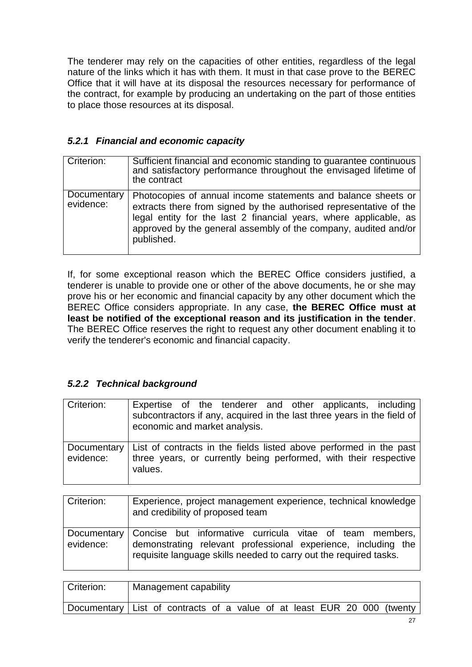The tenderer may rely on the capacities of other entities, regardless of the legal nature of the links which it has with them. It must in that case prove to the BEREC Office that it will have at its disposal the resources necessary for performance of the contract, for example by producing an undertaking on the part of those entities to place those resources at its disposal.

## <span id="page-29-0"></span>*5.2.1 Financial and economic capacity*

| Criterion:               | Sufficient financial and economic standing to guarantee continuous<br>and satisfactory performance throughout the envisaged lifetime of<br>the contract                                                                                                                                   |
|--------------------------|-------------------------------------------------------------------------------------------------------------------------------------------------------------------------------------------------------------------------------------------------------------------------------------------|
| Documentary<br>evidence: | Photocopies of annual income statements and balance sheets or<br>extracts there from signed by the authorised representative of the<br>legal entity for the last 2 financial years, where applicable, as<br>approved by the general assembly of the company, audited and/or<br>published. |

If, for some exceptional reason which the BEREC Office considers justified, a tenderer is unable to provide one or other of the above documents, he or she may prove his or her economic and financial capacity by any other document which the BEREC Office considers appropriate. In any case, **the BEREC Office must at least be notified of the exceptional reason and its justification in the tender**. The BEREC Office reserves the right to request any other document enabling it to verify the tenderer's economic and financial capacity.

## <span id="page-29-1"></span>*5.2.2 Technical background*

| Criterion:                      | Expertise of the tenderer and other applicants, including<br>subcontractors if any, acquired in the last three years in the field of<br>economic and market analysis. |
|---------------------------------|-----------------------------------------------------------------------------------------------------------------------------------------------------------------------|
| <b>Documentary</b><br>evidence: | List of contracts in the fields listed above performed in the past<br>three years, or currently being performed, with their respective<br>values.                     |

| Criterion: | Experience, project management experience, technical knowledge<br>and credibility of proposed team                                                                                                         |
|------------|------------------------------------------------------------------------------------------------------------------------------------------------------------------------------------------------------------|
| evidence:  | Documentary Concise but informative curricula vitae of team members,<br>demonstrating relevant professional experience, including the<br>requisite language skills needed to carry out the required tasks. |

| Criterion:                                                              | Management capability |  |  |  |  |  |  |  |  |  |  |  |  |
|-------------------------------------------------------------------------|-----------------------|--|--|--|--|--|--|--|--|--|--|--|--|
| Documentary List of contracts of a value of at least EUR 20 000 (twenty |                       |  |  |  |  |  |  |  |  |  |  |  |  |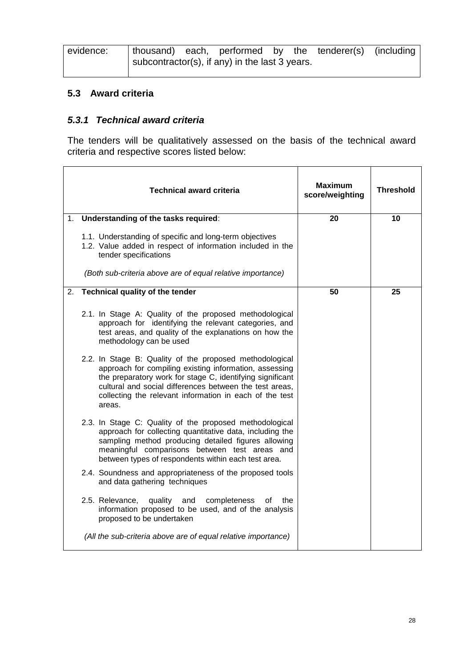| evidence: |  |                                                |  | thousand) each, performed by the tenderer(s) (including |  |
|-----------|--|------------------------------------------------|--|---------------------------------------------------------|--|
|           |  | subcontractor(s), if any) in the last 3 years. |  |                                                         |  |

#### <span id="page-30-0"></span>**5.3 Award criteria**

#### <span id="page-30-1"></span>*5.3.1 Technical award criteria*

The tenders will be qualitatively assessed on the basis of the technical award criteria and respective scores listed below:

|    | <b>Technical award criteria</b>                                                                                                                                                                                                                                                                                | Maximum<br>score/weighting | <b>Threshold</b> |
|----|----------------------------------------------------------------------------------------------------------------------------------------------------------------------------------------------------------------------------------------------------------------------------------------------------------------|----------------------------|------------------|
| 1. | Understanding of the tasks required:                                                                                                                                                                                                                                                                           | 20                         | 10               |
|    | 1.1. Understanding of specific and long-term objectives<br>1.2. Value added in respect of information included in the<br>tender specifications                                                                                                                                                                 |                            |                  |
|    | (Both sub-criteria above are of equal relative importance)                                                                                                                                                                                                                                                     |                            |                  |
| 2. | Technical quality of the tender                                                                                                                                                                                                                                                                                | 50                         | 25               |
|    | 2.1. In Stage A: Quality of the proposed methodological<br>approach for identifying the relevant categories, and<br>test areas, and quality of the explanations on how the<br>methodology can be used                                                                                                          |                            |                  |
|    | 2.2. In Stage B: Quality of the proposed methodological<br>approach for compiling existing information, assessing<br>the preparatory work for stage C, identifying significant<br>cultural and social differences between the test areas,<br>collecting the relevant information in each of the test<br>areas. |                            |                  |
|    | 2.3. In Stage C: Quality of the proposed methodological<br>approach for collecting quantitative data, including the<br>sampling method producing detailed figures allowing<br>meaningful comparisons between test areas and<br>between types of respondents within each test area.                             |                            |                  |
|    | 2.4. Soundness and appropriateness of the proposed tools<br>and data gathering techniques                                                                                                                                                                                                                      |                            |                  |
|    | 2.5. Relevance,<br>quality and<br>completeness<br>the<br>of<br>information proposed to be used, and of the analysis<br>proposed to be undertaken                                                                                                                                                               |                            |                  |
|    | (All the sub-criteria above are of equal relative importance)                                                                                                                                                                                                                                                  |                            |                  |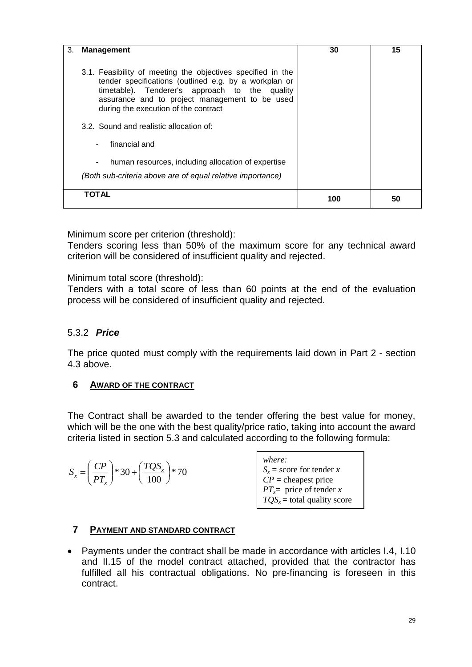| 3.<br>Management                                                                                                                                                                                                                                                 | 30 | 15 |
|------------------------------------------------------------------------------------------------------------------------------------------------------------------------------------------------------------------------------------------------------------------|----|----|
| 3.1. Feasibility of meeting the objectives specified in the<br>tender specifications (outlined e.g. by a workplan or<br>timetable). Tenderer's approach to the quality<br>assurance and to project management to be used<br>during the execution of the contract |    |    |
| 3.2. Sound and realistic allocation of:                                                                                                                                                                                                                          |    |    |
| financial and<br>$\sim$                                                                                                                                                                                                                                          |    |    |
| human resources, including allocation of expertise<br>٠                                                                                                                                                                                                          |    |    |
| (Both sub-criteria above are of equal relative importance)                                                                                                                                                                                                       |    |    |
| <b>TOTAL</b>                                                                                                                                                                                                                                                     |    |    |

Minimum score per criterion (threshold):

Tenders scoring less than 50% of the maximum score for any technical award criterion will be considered of insufficient quality and rejected.

Minimum total score (threshold):

Tenders with a total score of less than 60 points at the end of the evaluation process will be considered of insufficient quality and rejected.

#### <span id="page-31-0"></span>5.3.2 *Price*

The price quoted must comply with the requirements laid down in Part 2 - section 4.3 above.

## <span id="page-31-1"></span>**6 AWARD OF THE CONTRACT**

The Contract shall be awarded to the tender offering the best value for money, which will be the one with the best quality/price ratio, taking into account the award criteria listed in section 5.3 and calculated according to the following formula:

$$
S_x = \left(\frac{CP}{PT_x}\right) * 30 + \left(\frac{TQS_x}{100}\right) * 70
$$

*where:*  $S_x$  = score for tender *x CP* = cheapest price *PT*<sub>*x*</sub>= price of tender *x*  $TOS<sub>x</sub>$  = total quality score

of tender *x*

#### <span id="page-31-2"></span>**7 PAYMENT AND STANDARD CONTRACT**

 Payments under the contract shall be made in accordance with articles I.4, I.10 and II.15 of the model contract attached, provided that the contractor has fulfilled all his contractual obligations. No pre-financing is foreseen in this contract.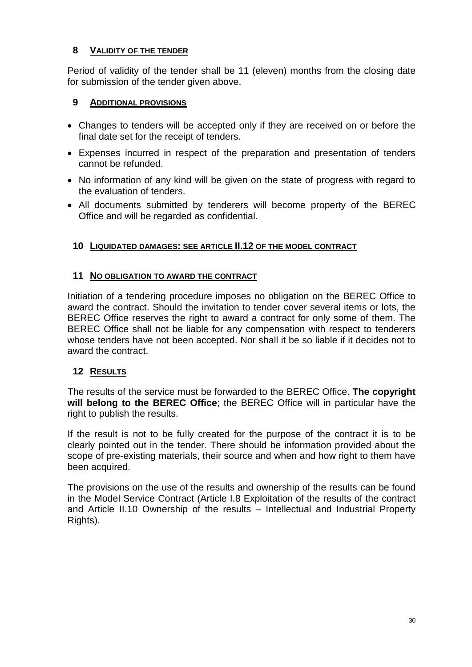## <span id="page-32-0"></span>**8 VALIDITY OF THE TENDER**

Period of validity of the tender shall be 11 (eleven) months from the closing date for submission of the tender given above.

## <span id="page-32-1"></span>**9 ADDITIONAL PROVISIONS**

- Changes to tenders will be accepted only if they are received on or before the final date set for the receipt of tenders.
- Expenses incurred in respect of the preparation and presentation of tenders cannot be refunded.
- No information of any kind will be given on the state of progress with regard to the evaluation of tenders.
- All documents submitted by tenderers will become property of the BEREC Office and will be regarded as confidential.

## <span id="page-32-2"></span>**10 LIQUIDATED DAMAGES: SEE ARTICLE II.12 OF THE MODEL CONTRACT**

## <span id="page-32-3"></span>**11 NO OBLIGATION TO AWARD THE CONTRACT**

Initiation of a tendering procedure imposes no obligation on the BEREC Office to award the contract. Should the invitation to tender cover several items or lots, the BEREC Office reserves the right to award a contract for only some of them. The BEREC Office shall not be liable for any compensation with respect to tenderers whose tenders have not been accepted. Nor shall it be so liable if it decides not to award the contract.

## <span id="page-32-4"></span>**12 RESULTS**

The results of the service must be forwarded to the BEREC Office. **The copyright will belong to the BEREC Office**; the BEREC Office will in particular have the right to publish the results.

If the result is not to be fully created for the purpose of the contract it is to be clearly pointed out in the tender. There should be information provided about the scope of pre-existing materials, their source and when and how right to them have been acquired.

The provisions on the use of the results and ownership of the results can be found in the Model Service Contract (Article I.8 Exploitation of the results of the contract and Article II.10 Ownership of the results – Intellectual and Industrial Property Rights).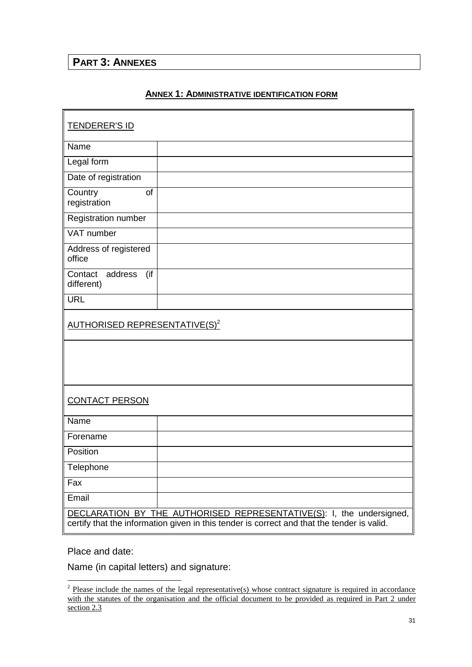# <span id="page-33-1"></span><span id="page-33-0"></span>**PART 3: ANNEXES**

#### **ANNEX 1: ADMINISTRATIVE IDENTIFICATION FORM**

| <b>TENDERER'S ID</b>                                                                                                                                               |  |  |  |  |  |  |  |
|--------------------------------------------------------------------------------------------------------------------------------------------------------------------|--|--|--|--|--|--|--|
| Name                                                                                                                                                               |  |  |  |  |  |  |  |
| Legal form                                                                                                                                                         |  |  |  |  |  |  |  |
| Date of registration                                                                                                                                               |  |  |  |  |  |  |  |
| Country<br>of<br>registration                                                                                                                                      |  |  |  |  |  |  |  |
| <b>Registration number</b>                                                                                                                                         |  |  |  |  |  |  |  |
| VAT number                                                                                                                                                         |  |  |  |  |  |  |  |
| Address of registered<br>office                                                                                                                                    |  |  |  |  |  |  |  |
| address<br>(if<br>Contact<br>different)                                                                                                                            |  |  |  |  |  |  |  |
| <b>URL</b>                                                                                                                                                         |  |  |  |  |  |  |  |
| <u>AUTHORISED REPRESENTATIVE(S)<sup>2</sup></u>                                                                                                                    |  |  |  |  |  |  |  |
|                                                                                                                                                                    |  |  |  |  |  |  |  |
| <b>CONTACT PERSON</b>                                                                                                                                              |  |  |  |  |  |  |  |
| Name                                                                                                                                                               |  |  |  |  |  |  |  |
| Forename                                                                                                                                                           |  |  |  |  |  |  |  |
| Position                                                                                                                                                           |  |  |  |  |  |  |  |
| Telephone                                                                                                                                                          |  |  |  |  |  |  |  |
| Fax                                                                                                                                                                |  |  |  |  |  |  |  |
| Email                                                                                                                                                              |  |  |  |  |  |  |  |
| DECLARATION BY THE AUTHORISED REPRESENTATIVE(S): I, the undersigned,<br>certify that the information given in this tender is correct and that the tender is valid. |  |  |  |  |  |  |  |

Place and date:

Name (in capital letters) and signature:

<sup>&</sup>lt;sup>2</sup> Please include the names of the legal representative(s) whose contract signature is required in accordance with the statutes of the organisation and the official document to be provided as required in Part 2 under section 2.3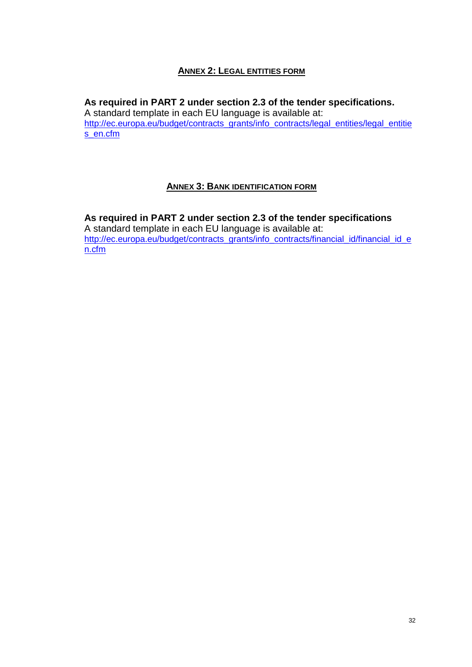#### **ANNEX 2: LEGAL ENTITIES FORM**

#### <span id="page-34-0"></span>**As required in PART 2 under section 2.3 of the tender specifications.**

A standard template in each EU language is available at: [http://ec.europa.eu/budget/contracts\\_grants/info\\_contracts/legal\\_entities/legal\\_entitie](http://ec.europa.eu/budget/contracts_grants/info_contracts/legal_entities/legal_entities_en.cfm) [s\\_en.cfm](http://ec.europa.eu/budget/contracts_grants/info_contracts/legal_entities/legal_entities_en.cfm)

#### **ANNEX 3: BANK IDENTIFICATION FORM**

<span id="page-34-1"></span>**As required in PART 2 under section 2.3 of the tender specifications** A standard template in each EU language is available at: [http://ec.europa.eu/budget/contracts\\_grants/info\\_contracts/financial\\_id/financial\\_id\\_e](http://ec.europa.eu/budget/contracts_grants/info_contracts/financial_id/financial_id_en.cfm) [n.cfm](http://ec.europa.eu/budget/contracts_grants/info_contracts/financial_id/financial_id_en.cfm)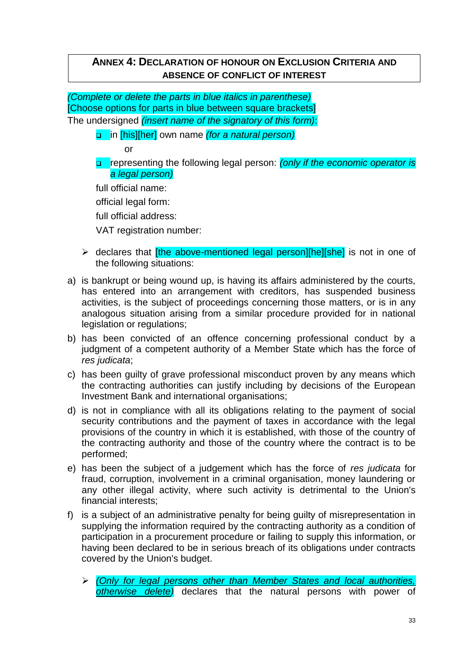## <span id="page-35-0"></span>**ANNEX 4: DECLARATION OF HONOUR ON EXCLUSION CRITERIA AND ABSENCE OF CONFLICT OF INTEREST**

*(Complete or delete the parts in blue italics in parenthese)* [Choose options for parts in blue between square brackets] The undersigned *(insert name of the signatory of this form)*:

in [his][her] own name *(for a natural person)*

or

 representing the following legal person: *(only if the economic operator is a legal person)*

full official name:

official legal form:

full official address:

VAT registration number:

- $\triangleright$  declares that *[the above-mentioned legal person][he][she]* is not in one of the following situations:
- a) is bankrupt or being wound up, is having its affairs administered by the courts, has entered into an arrangement with creditors, has suspended business activities, is the subject of proceedings concerning those matters, or is in any analogous situation arising from a similar procedure provided for in national legislation or regulations;
- b) has been convicted of an offence concerning professional conduct by a judgment of a competent authority of a Member State which has the force of *res judicata*;
- c) has been guilty of grave professional misconduct proven by any means which the contracting authorities can justify including by decisions of the European Investment Bank and international organisations;
- d) is not in compliance with all its obligations relating to the payment of social security contributions and the payment of taxes in accordance with the legal provisions of the country in which it is established, with those of the country of the contracting authority and those of the country where the contract is to be performed;
- e) has been the subject of a judgement which has the force of *res judicata* for fraud, corruption, involvement in a criminal organisation, money laundering or any other illegal activity, where such activity is detrimental to the Union's financial interests;
- f) is a subject of an administrative penalty for being guilty of misrepresentation in supplying the information required by the contracting authority as a condition of participation in a procurement procedure or failing to supply this information, or having been declared to be in serious breach of its obligations under contracts covered by the Union's budget.

*(Only for legal persons other than Member States and local authorities, otherwise delete)* declares that the natural persons with power of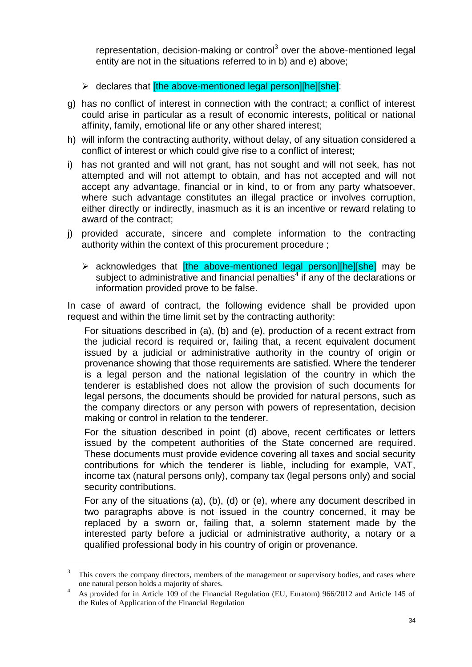representation, decision-making or control<sup>3</sup> over the above-mentioned legal entity are not in the situations referred to in b) and e) above;

- $\triangleright$  declares that [the above-mentioned legal person][he][she]:
- g) has no conflict of interest in connection with the contract; a conflict of interest could arise in particular as a result of economic interests, political or national affinity, family, emotional life or any other shared interest;
- h) will inform the contracting authority, without delay, of any situation considered a conflict of interest or which could give rise to a conflict of interest;
- i) has not granted and will not grant, has not sought and will not seek, has not attempted and will not attempt to obtain, and has not accepted and will not accept any advantage, financial or in kind, to or from any party whatsoever, where such advantage constitutes an illegal practice or involves corruption, either directly or indirectly, inasmuch as it is an incentive or reward relating to award of the contract;
- j) provided accurate, sincere and complete information to the contracting authority within the context of this procurement procedure ;
	- $\triangleright$  acknowledges that *ithe above-mentioned legal person][he][she]* may be subject to administrative and financial penalties $4$  if any of the declarations or information provided prove to be false.

In case of award of contract, the following evidence shall be provided upon request and within the time limit set by the contracting authority:

For situations described in (a), (b) and (e), production of a recent extract from the judicial record is required or, failing that, a recent equivalent document issued by a judicial or administrative authority in the country of origin or provenance showing that those requirements are satisfied. Where the tenderer is a legal person and the national legislation of the country in which the tenderer is established does not allow the provision of such documents for legal persons, the documents should be provided for natural persons, such as the company directors or any person with powers of representation, decision making or control in relation to the tenderer.

For the situation described in point (d) above, recent certificates or letters issued by the competent authorities of the State concerned are required. These documents must provide evidence covering all taxes and social security contributions for which the tenderer is liable, including for example, VAT, income tax (natural persons only), company tax (legal persons only) and social security contributions.

For any of the situations (a), (b), (d) or (e), where any document described in two paragraphs above is not issued in the country concerned, it may be replaced by a sworn or, failing that, a solemn statement made by the interested party before a judicial or administrative authority, a notary or a qualified professional body in his country of origin or provenance.

 $\frac{1}{3}$ This covers the company directors, members of the management or supervisory bodies, and cases where one natural person holds a majority of shares.

<sup>4</sup> As provided for in Article 109 of the Financial Regulation (EU, Euratom) 966/2012 and Article 145 of the Rules of Application of the Financial Regulation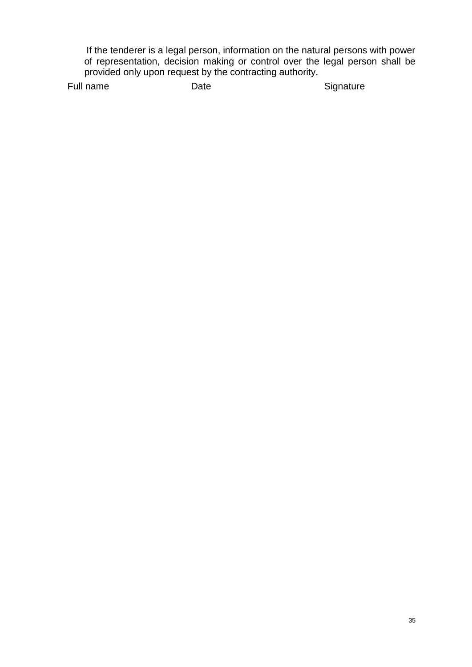If the tenderer is a legal person, information on the natural persons with power of representation, decision making or control over the legal person shall be provided only upon request by the contracting authority.

Full name Date Date Signature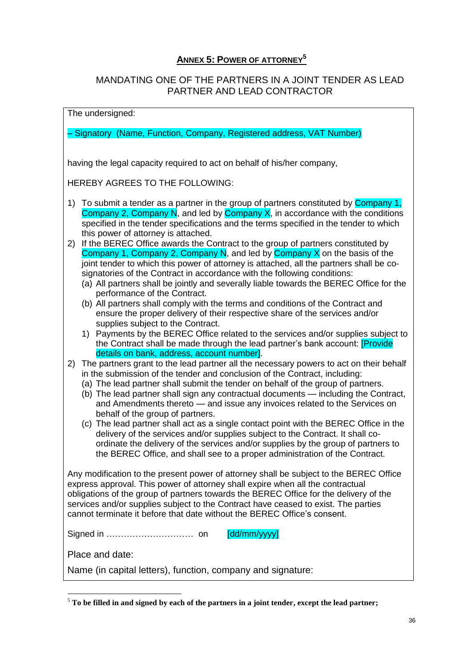## **ANNEX 5: POWER OF ATTORNEY<sup>5</sup>**

### <span id="page-38-0"></span>MANDATING ONE OF THE PARTNERS IN A JOINT TENDER AS LEAD PARTNER AND LEAD CONTRACTOR

#### The undersigned:

– Signatory (Name, Function, Company, Registered address, VAT Number)

having the legal capacity required to act on behalf of his/her company,

HEREBY AGREES TO THE FOLLOWING:

- 1) To submit a tender as a partner in the group of partners constituted by **Company 1**, Company 2, Company N, and led by Company X, in accordance with the conditions specified in the tender specifications and the terms specified in the tender to which this power of attorney is attached.
- 2) If the BEREC Office awards the Contract to the group of partners constituted by Company 1, Company 2, Company N, and led by Company  $X$  on the basis of the joint tender to which this power of attorney is attached, all the partners shall be cosignatories of the Contract in accordance with the following conditions:
	- (a) All partners shall be jointly and severally liable towards the BEREC Office for the performance of the Contract.
	- (b) All partners shall comply with the terms and conditions of the Contract and ensure the proper delivery of their respective share of the services and/or supplies subject to the Contract.
	- 1) Payments by the BEREC Office related to the services and/or supplies subject to the Contract shall be made through the lead partner's bank account: [Provide details on bank, address, account number].
- 2) The partners grant to the lead partner all the necessary powers to act on their behalf in the submission of the tender and conclusion of the Contract, including:
	- (a) The lead partner shall submit the tender on behalf of the group of partners.
	- (b) The lead partner shall sign any contractual documents including the Contract, and Amendments thereto — and issue any invoices related to the Services on behalf of the group of partners.
	- (c) The lead partner shall act as a single contact point with the BEREC Office in the delivery of the services and/or supplies subject to the Contract. It shall coordinate the delivery of the services and/or supplies by the group of partners to the BEREC Office, and shall see to a proper administration of the Contract.

Any modification to the present power of attorney shall be subject to the BEREC Office express approval. This power of attorney shall expire when all the contractual obligations of the group of partners towards the BEREC Office for the delivery of the services and/or supplies subject to the Contract have ceased to exist. The parties cannot terminate it before that date without the BEREC Office's consent.

Signed in ………………………… on [dd/mm/yyyy]

Place and date:

1

Name (in capital letters), function, company and signature:

<sup>5</sup> **To be filled in and signed by each of the partners in a joint tender, except the lead partner;**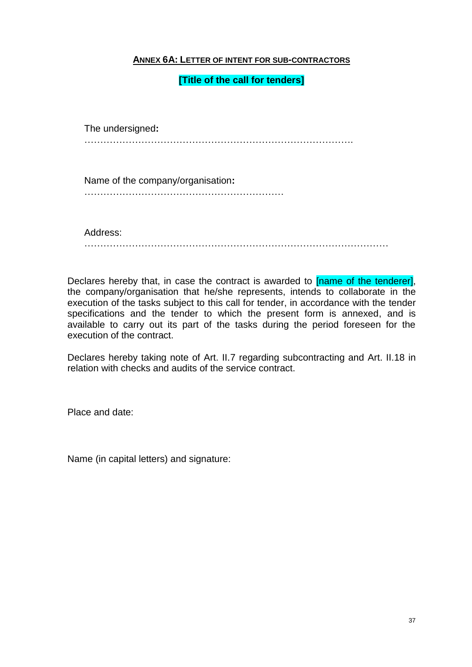#### <span id="page-39-0"></span>**ANNEX 6A: LETTER OF INTENT FOR SUB-CONTRACTORS**

#### **[Title of the call for tenders]**

The undersigned**:** ………………………………………………………………………….

Name of the company/organisation**:**

………………………………………………………

Address: ……………………………………………………………………………………

Declares hereby that, in case the contract is awarded to **[name of the tenderer]**, the company/organisation that he/she represents, intends to collaborate in the execution of the tasks subject to this call for tender, in accordance with the tender specifications and the tender to which the present form is annexed, and is available to carry out its part of the tasks during the period foreseen for the execution of the contract.

Declares hereby taking note of Art. II.7 regarding subcontracting and Art. II.18 in relation with checks and audits of the service contract.

Place and date:

Name (in capital letters) and signature: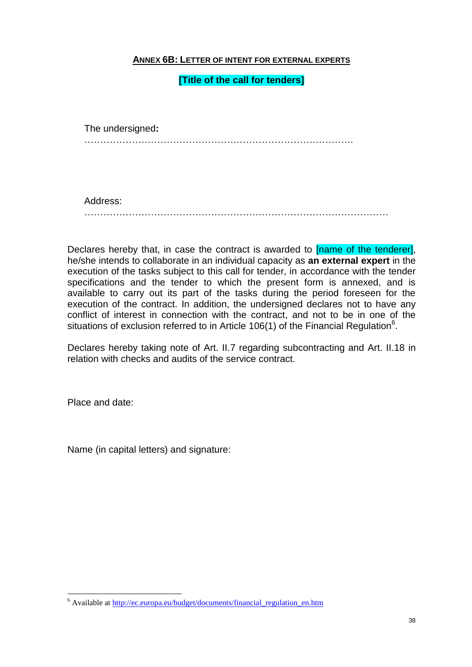#### <span id="page-40-0"></span>**ANNEX 6B: LETTER OF INTENT FOR EXTERNAL EXPERTS**

#### **[Title of the call for tenders]**

The undersigned**:** ………………………………………………………………………….

Address: ……………………………………………………………………………………

Declares hereby that, in case the contract is awarded to **[name of the tenderer]**, he/she intends to collaborate in an individual capacity as **an external expert** in the execution of the tasks subject to this call for tender, in accordance with the tender specifications and the tender to which the present form is annexed, and is available to carry out its part of the tasks during the period foreseen for the execution of the contract. In addition, the undersigned declares not to have any conflict of interest in connection with the contract, and not to be in one of the situations of exclusion referred to in Article 106(1) of the Financial Regulation<sup>6</sup>.

Declares hereby taking note of Art. II.7 regarding subcontracting and Art. II.18 in relation with checks and audits of the service contract.

Place and date:

1

Name (in capital letters) and signature:

<sup>6</sup> Available at [http://ec.europa.eu/budget/documents/financial\\_regulation\\_en.htm](http://ec.europa.eu/budget/documents/financial_regulation_en.htm)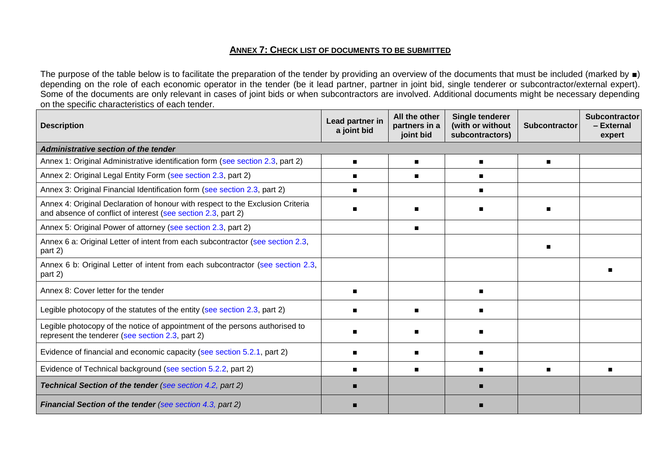#### **ANNEX 7: CHECK LIST OF DOCUMENTS TO BE SUBMITTED**

The purpose of the table below is to facilitate the preparation of the tender by providing an overview of the documents that must be included (marked by ■) depending on the role of each economic operator in the tender (be it lead partner, partner in joint bid, single tenderer or subcontractor/external expert). Some of the documents are only relevant in cases of joint bids or when subcontractors are involved. Additional documents might be necessary depending on the specific characteristics of each tender.

<span id="page-41-0"></span>

| <b>Description</b>                                                                                                                              | Lead partner in<br>a joint bid | All the other<br>partners in a<br>joint bid | Single tenderer<br>(with or without<br>subcontractors) | <b>Subcontractor</b> | <b>Subcontractor</b><br>- External<br>expert |
|-------------------------------------------------------------------------------------------------------------------------------------------------|--------------------------------|---------------------------------------------|--------------------------------------------------------|----------------------|----------------------------------------------|
| Administrative section of the tender                                                                                                            |                                |                                             |                                                        |                      |                                              |
| Annex 1: Original Administrative identification form (see section 2.3, part 2)                                                                  |                                |                                             |                                                        | $\blacksquare$       |                                              |
| Annex 2: Original Legal Entity Form (see section 2.3, part 2)                                                                                   |                                |                                             |                                                        |                      |                                              |
| Annex 3: Original Financial Identification form (see section 2.3, part 2)                                                                       |                                |                                             |                                                        |                      |                                              |
| Annex 4: Original Declaration of honour with respect to the Exclusion Criteria<br>and absence of conflict of interest (see section 2.3, part 2) |                                |                                             |                                                        |                      |                                              |
| Annex 5: Original Power of attorney (see section 2.3, part 2)                                                                                   |                                | $\blacksquare$                              |                                                        |                      |                                              |
| Annex 6 a: Original Letter of intent from each subcontractor (see section 2.3,<br>part 2)                                                       |                                |                                             |                                                        |                      |                                              |
| Annex 6 b: Original Letter of intent from each subcontractor (see section 2.3,<br>part 2)                                                       |                                |                                             |                                                        |                      |                                              |
| Annex 8: Cover letter for the tender                                                                                                            |                                |                                             |                                                        |                      |                                              |
| Legible photocopy of the statutes of the entity (see section 2.3, part 2)                                                                       |                                |                                             |                                                        |                      |                                              |
| Legible photocopy of the notice of appointment of the persons authorised to<br>represent the tenderer (see section 2.3, part 2)                 |                                |                                             |                                                        |                      |                                              |
| Evidence of financial and economic capacity (see section 5.2.1, part 2)                                                                         |                                |                                             |                                                        |                      |                                              |
| Evidence of Technical background (see section 5.2.2, part 2)                                                                                    |                                | ш                                           |                                                        |                      |                                              |
| <b>Technical Section of the tender (see section 4.2, part 2)</b>                                                                                |                                |                                             |                                                        |                      |                                              |
| <b>Financial Section of the tender (see section 4.3, part 2)</b>                                                                                |                                |                                             |                                                        |                      |                                              |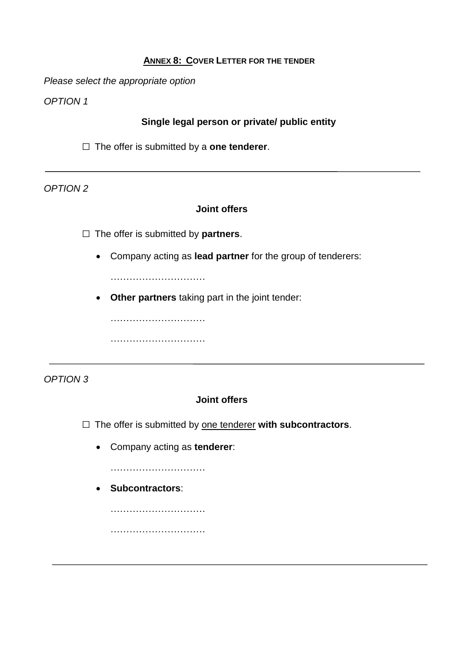#### **ANNEX 8: COVER LETTER FOR THE TENDER**

<span id="page-43-0"></span>*Please select the appropriate option*

*OPTION 1*

## **Single legal person or private/ public entity**

□ The offer is submitted by a **one tenderer**.

*OPTION 2*

#### **Joint offers**

□ The offer is submitted by **partners**.

Company acting as **lead partner** for the group of tenderers:

…………………………

**Other partners** taking part in the joint tender:

……………………………………… …………………………

*OPTION 3*

#### **Joint offers**

□ The offer is submitted by <u>one tenderer</u> with subcontractors.

Company acting as **tenderer**:

……………………………

**Subcontractors**:

…………………………

…………………………